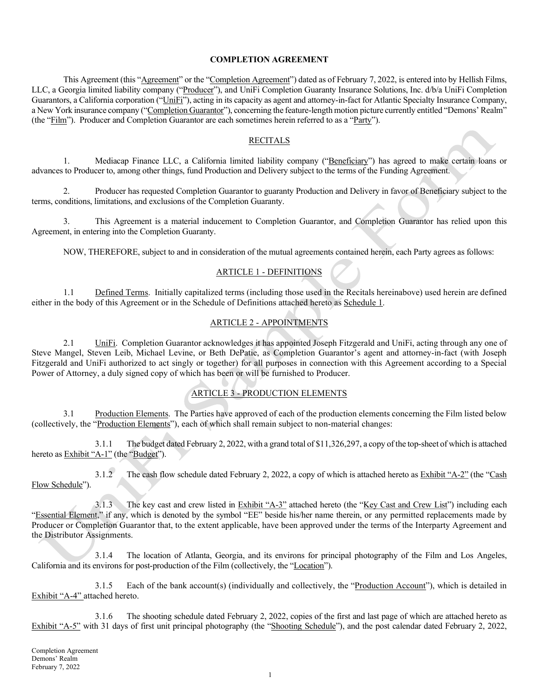#### COMPLETION AGREEMENT

This Agreement (this "Agreement" or the "Completion Agreement") dated as of February 7, 2022, is entered into by Hellish Films, LLC, a Georgia limited liability company ("Producer"), and UniFi Completion Guaranty Insurance Solutions, Inc. d/b/a UniFi Completion Guarantors, a California corporation ("UniFi"), acting in its capacity as agent and attorney-in-fact for Atlantic Specialty Insurance Company, a New York insurance company ("Completion Guarantor"), concerning the feature-length motion picture currently entitled "Demons' Realm" (the "Film"). Producer and Completion Guarantor are each sometimes herein referred to as a "Party").

### **RECITALS**

1. Mediacap Finance LLC, a California limited liability company ("Beneficiary") has agreed to make certain loans or advances to Producer to, among other things, fund Production and Delivery subject to the terms of the Funding Agreement.

2. Producer has requested Completion Guarantor to guaranty Production and Delivery in favor of Beneficiary subject to the terms, conditions, limitations, and exclusions of the Completion Guaranty.

3. This Agreement is a material inducement to Completion Guarantor, and Completion Guarantor has relied upon this Agreement, in entering into the Completion Guaranty.

NOW, THEREFORE, subject to and in consideration of the mutual agreements contained herein, each Party agrees as follows:

# ARTICLE 1 - DEFINITIONS

1.1 Defined Terms. Initially capitalized terms (including those used in the Recitals hereinabove) used herein are defined either in the body of this Agreement or in the Schedule of Definitions attached hereto as Schedule 1.

# ARTICLE 2 - APPOINTMENTS

2.1 UniFi. Completion Guarantor acknowledges it has appointed Joseph Fitzgerald and UniFi, acting through any one of Steve Mangel, Steven Leib, Michael Levine, or Beth DePatie, as Completion Guarantor's agent and attorney-in-fact (with Joseph Fitzgerald and UniFi authorized to act singly or together) for all purposes in connection with this Agreement according to a Special Power of Attorney, a duly signed copy of which has been or will be furnished to Producer.

# ARTICLE 3 - PRODUCTION ELEMENTS

3.1 Production Elements. The Parties have approved of each of the production elements concerning the Film listed below (collectively, the "Production Elements"), each of which shall remain subject to non-material changes:

3.1.1 The budget dated February 2, 2022, with a grand total of \$11,326,297, a copy of the top-sheet of which is attached hereto as Exhibit "A-1" (the "Budget").

3.1.2 The cash flow schedule dated February 2, 2022, a copy of which is attached hereto as Exhibit "A-2" (the "Cash Flow Schedule").

3.1.3 The key cast and crew listed in Exhibit "A-3" attached hereto (the "Key Cast and Crew List") including each "Essential Element," if any, which is denoted by the symbol "EE" beside his/her name therein, or any permitted replacements made by Producer or Completion Guarantor that, to the extent applicable, have been approved under the terms of the Interparty Agreement and the Distributor Assignments.

3.1.4 The location of Atlanta, Georgia, and its environs for principal photography of the Film and Los Angeles, California and its environs for post-production of the Film (collectively, the "Location").

3.1.5 Each of the bank account(s) (individually and collectively, the "Production Account"), which is detailed in Exhibit "A-4" attached hereto.

3.1.6 The shooting schedule dated February 2, 2022, copies of the first and last page of which are attached hereto as Exhibit "A-5" with 31 days of first unit principal photography (the "Shooting Schedule"), and the post calendar dated February 2, 2022,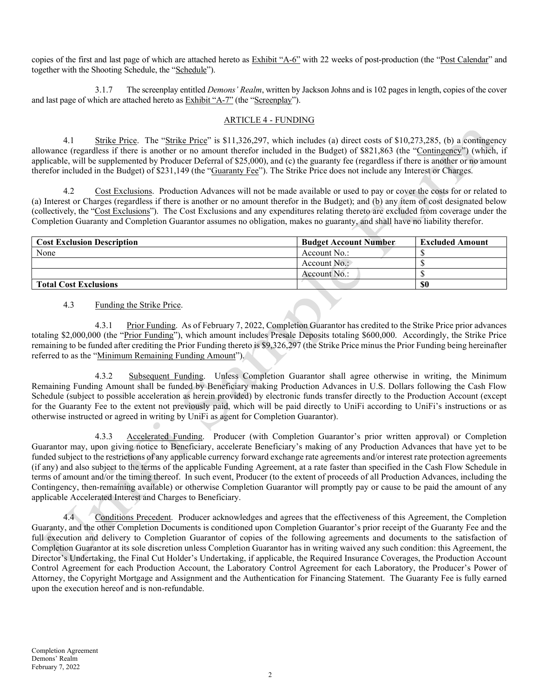copies of the first and last page of which are attached hereto as Exhibit "A-6" with 22 weeks of post-production (the "Post Calendar" and together with the Shooting Schedule, the "Schedule").

3.1.7 The screenplay entitled *Demons' Realm*, written by Jackson Johns and is 102 pages in length, copies of the cover and last page of which are attached hereto as Exhibit "A-7" (the "Screenplay").

## ARTICLE 4 - FUNDING

4.1 Strike Price. The "Strike Price" is \$11,326,297, which includes (a) direct costs of \$10,273,285, (b) a contingency allowance (regardless if there is another or no amount therefor included in the Budget) of \$821,863 (the "Contingency") (which, if applicable, will be supplemented by Producer Deferral of \$25,000), and (c) the guaranty fee (regardless if there is another or no amount therefor included in the Budget) of \$231,149 (the "Guaranty Fee"). The Strike Price does not include any Interest or Charges.

4.2 Cost Exclusions. Production Advances will not be made available or used to pay or cover the costs for or related to (a) Interest or Charges (regardless if there is another or no amount therefor in the Budget); and (b) any item of cost designated below (collectively, the "Cost Exclusions"). The Cost Exclusions and any expenditures relating thereto are excluded from coverage under the Completion Guaranty and Completion Guarantor assumes no obligation, makes no guaranty, and shall have no liability therefor.

| <b>Cost Exclusion Description</b> | <b>Budget Account Number</b> | <b>Excluded Amount</b> |
|-----------------------------------|------------------------------|------------------------|
| None                              | Account No.:                 |                        |
|                                   | Account $No.$                |                        |
|                                   | Account $No.$ :              |                        |
| <b>Total Cost Exclusions</b>      |                              | \$0                    |

## 4.3 Funding the Strike Price.

4.3.1 Prior Funding. As of February 7, 2022, Completion Guarantor has credited to the Strike Price prior advances totaling \$2,000,000 (the "Prior Funding"), which amount includes Presale Deposits totaling \$600,000. Accordingly, the Strike Price remaining to be funded after crediting the Prior Funding thereto is \$9,326,297 (the Strike Price minus the Prior Funding being hereinafter referred to as the "Minimum Remaining Funding Amount").

4.3.2 Subsequent Funding. Unless Completion Guarantor shall agree otherwise in writing, the Minimum Remaining Funding Amount shall be funded by Beneficiary making Production Advances in U.S. Dollars following the Cash Flow Schedule (subject to possible acceleration as herein provided) by electronic funds transfer directly to the Production Account (except for the Guaranty Fee to the extent not previously paid, which will be paid directly to UniFi according to UniFi's instructions or as otherwise instructed or agreed in writing by UniFi as agent for Completion Guarantor).

4.3.3 Accelerated Funding. Producer (with Completion Guarantor's prior written approval) or Completion Guarantor may, upon giving notice to Beneficiary, accelerate Beneficiary's making of any Production Advances that have yet to be funded subject to the restrictions of any applicable currency forward exchange rate agreements and/or interest rate protection agreements (if any) and also subject to the terms of the applicable Funding Agreement, at a rate faster than specified in the Cash Flow Schedule in terms of amount and/or the timing thereof. In such event, Producer (to the extent of proceeds of all Production Advances, including the Contingency, then-remaining available) or otherwise Completion Guarantor will promptly pay or cause to be paid the amount of any applicable Accelerated Interest and Charges to Beneficiary.

4.4 Conditions Precedent. Producer acknowledges and agrees that the effectiveness of this Agreement, the Completion Guaranty, and the other Completion Documents is conditioned upon Completion Guarantor's prior receipt of the Guaranty Fee and the full execution and delivery to Completion Guarantor of copies of the following agreements and documents to the satisfaction of Completion Guarantor at its sole discretion unless Completion Guarantor has in writing waived any such condition: this Agreement, the Director's Undertaking, the Final Cut Holder's Undertaking, if applicable, the Required Insurance Coverages, the Production Account Control Agreement for each Production Account, the Laboratory Control Agreement for each Laboratory, the Producer's Power of Attorney, the Copyright Mortgage and Assignment and the Authentication for Financing Statement. The Guaranty Fee is fully earned upon the execution hereof and is non-refundable.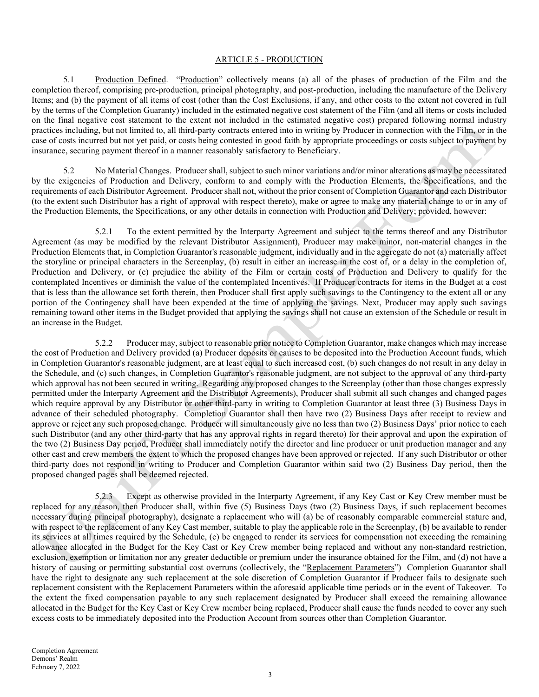#### ARTICLE 5 - PRODUCTION

5.1 Production Defined. "Production" collectively means (a) all of the phases of production of the Film and the completion thereof, comprising pre-production, principal photography, and post-production, including the manufacture of the Delivery Items; and (b) the payment of all items of cost (other than the Cost Exclusions, if any, and other costs to the extent not covered in full by the terms of the Completion Guaranty) included in the estimated negative cost statement of the Film (and all items or costs included on the final negative cost statement to the extent not included in the estimated negative cost) prepared following normal industry practices including, but not limited to, all third-party contracts entered into in writing by Producer in connection with the Film, or in the case of costs incurred but not yet paid, or costs being contested in good faith by appropriate proceedings or costs subject to payment by insurance, securing payment thereof in a manner reasonably satisfactory to Beneficiary.

5.2 No Material Changes. Producer shall, subject to such minor variations and/or minor alterations as may be necessitated by the exigencies of Production and Delivery, conform to and comply with the Production Elements, the Specifications, and the requirements of each Distributor Agreement. Producer shall not, without the prior consent of Completion Guarantor and each Distributor (to the extent such Distributor has a right of approval with respect thereto), make or agree to make any material change to or in any of the Production Elements, the Specifications, or any other details in connection with Production and Delivery; provided, however:

5.2.1 To the extent permitted by the Interparty Agreement and subject to the terms thereof and any Distributor Agreement (as may be modified by the relevant Distributor Assignment), Producer may make minor, non-material changes in the Production Elements that, in Completion Guarantor's reasonable judgment, individually and in the aggregate do not (a) materially affect the storyline or principal characters in the Screenplay, (b) result in either an increase in the cost of, or a delay in the completion of, Production and Delivery, or (c) prejudice the ability of the Film or certain costs of Production and Delivery to qualify for the contemplated Incentives or diminish the value of the contemplated Incentives. If Producer contracts for items in the Budget at a cost that is less than the allowance set forth therein, then Producer shall first apply such savings to the Contingency to the extent all or any portion of the Contingency shall have been expended at the time of applying the savings. Next, Producer may apply such savings remaining toward other items in the Budget provided that applying the savings shall not cause an extension of the Schedule or result in an increase in the Budget.

5.2.2 Producer may, subject to reasonable prior notice to Completion Guarantor, make changes which may increase the cost of Production and Delivery provided (a) Producer deposits or causes to be deposited into the Production Account funds, which in Completion Guarantor's reasonable judgment, are at least equal to such increased cost, (b) such changes do not result in any delay in the Schedule, and (c) such changes, in Completion Guarantor's reasonable judgment, are not subject to the approval of any third-party which approval has not been secured in writing. Regarding any proposed changes to the Screenplay (other than those changes expressly permitted under the Interparty Agreement and the Distributor Agreements), Producer shall submit all such changes and changed pages which require approval by any Distributor or other third-party in writing to Completion Guarantor at least three (3) Business Days in advance of their scheduled photography. Completion Guarantor shall then have two (2) Business Days after receipt to review and approve or reject any such proposed change. Producer will simultaneously give no less than two (2) Business Days' prior notice to each such Distributor (and any other third-party that has any approval rights in regard thereto) for their approval and upon the expiration of the two (2) Business Day period, Producer shall immediately notify the director and line producer or unit production manager and any other cast and crew members the extent to which the proposed changes have been approved or rejected. If any such Distributor or other third-party does not respond in writing to Producer and Completion Guarantor within said two (2) Business Day period, then the proposed changed pages shall be deemed rejected.

5.2.3 Except as otherwise provided in the Interparty Agreement, if any Key Cast or Key Crew member must be replaced for any reason, then Producer shall, within five (5) Business Days (two (2) Business Days, if such replacement becomes necessary during principal photography), designate a replacement who will (a) be of reasonably comparable commercial stature and, with respect to the replacement of any Key Cast member, suitable to play the applicable role in the Screenplay, (b) be available to render its services at all times required by the Schedule, (c) be engaged to render its services for compensation not exceeding the remaining allowance allocated in the Budget for the Key Cast or Key Crew member being replaced and without any non-standard restriction, exclusion, exemption or limitation nor any greater deductible or premium under the insurance obtained for the Film, and (d) not have a history of causing or permitting substantial cost overruns (collectively, the "Replacement Parameters") Completion Guarantor shall have the right to designate any such replacement at the sole discretion of Completion Guarantor if Producer fails to designate such replacement consistent with the Replacement Parameters within the aforesaid applicable time periods or in the event of Takeover. To the extent the fixed compensation payable to any such replacement designated by Producer shall exceed the remaining allowance allocated in the Budget for the Key Cast or Key Crew member being replaced, Producer shall cause the funds needed to cover any such excess costs to be immediately deposited into the Production Account from sources other than Completion Guarantor.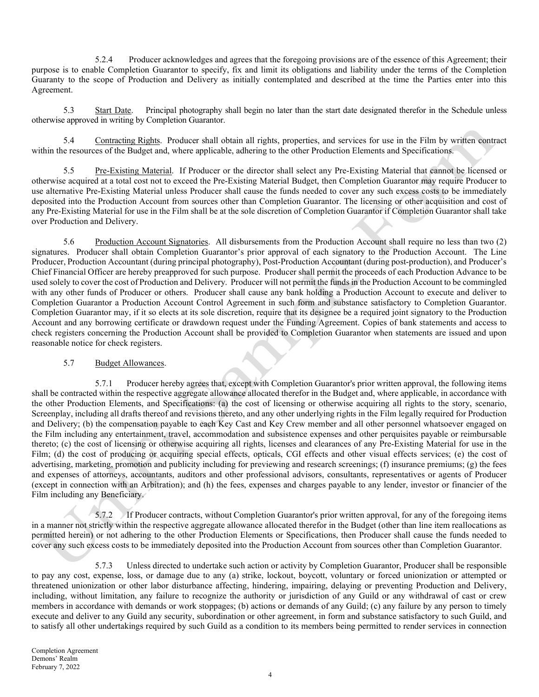5.2.4 Producer acknowledges and agrees that the foregoing provisions are of the essence of this Agreement; their purpose is to enable Completion Guarantor to specify, fix and limit its obligations and liability under the terms of the Completion Guaranty to the scope of Production and Delivery as initially contemplated and described at the time the Parties enter into this Agreement.

5.3 Start Date. Principal photography shall begin no later than the start date designated therefor in the Schedule unless otherwise approved in writing by Completion Guarantor.

5.4 Contracting Rights. Producer shall obtain all rights, properties, and services for use in the Film by written contract within the resources of the Budget and, where applicable, adhering to the other Production Elements and Specifications.

5.5 Pre-Existing Material. If Producer or the director shall select any Pre-Existing Material that cannot be licensed or otherwise acquired at a total cost not to exceed the Pre-Existing Material Budget, then Completion Guarantor may require Producer to use alternative Pre-Existing Material unless Producer shall cause the funds needed to cover any such excess costs to be immediately deposited into the Production Account from sources other than Completion Guarantor. The licensing or other acquisition and cost of any Pre-Existing Material for use in the Film shall be at the sole discretion of Completion Guarantor if Completion Guarantor shall take over Production and Delivery.

5.6 Production Account Signatories. All disbursements from the Production Account shall require no less than two (2) signatures. Producer shall obtain Completion Guarantor's prior approval of each signatory to the Production Account. The Line Producer, Production Accountant (during principal photography), Post-Production Accountant (during post-production), and Producer's Chief Financial Officer are hereby preapproved for such purpose. Producer shall permit the proceeds of each Production Advance to be used solely to cover the cost of Production and Delivery. Producer will not permit the funds in the Production Account to be commingled with any other funds of Producer or others. Producer shall cause any bank holding a Production Account to execute and deliver to Completion Guarantor a Production Account Control Agreement in such form and substance satisfactory to Completion Guarantor. Completion Guarantor may, if it so elects at its sole discretion, require that its designee be a required joint signatory to the Production Account and any borrowing certificate or drawdown request under the Funding Agreement. Copies of bank statements and access to check registers concerning the Production Account shall be provided to Completion Guarantor when statements are issued and upon reasonable notice for check registers.

### 5.7 Budget Allowances.

5.7.1 Producer hereby agrees that, except with Completion Guarantor's prior written approval, the following items shall be contracted within the respective aggregate allowance allocated therefor in the Budget and, where applicable, in accordance with the other Production Elements, and Specifications: (a) the cost of licensing or otherwise acquiring all rights to the story, scenario, Screenplay, including all drafts thereof and revisions thereto, and any other underlying rights in the Film legally required for Production and Delivery; (b) the compensation payable to each Key Cast and Key Crew member and all other personnel whatsoever engaged on the Film including any entertainment, travel, accommodation and subsistence expenses and other perquisites payable or reimbursable thereto; (c) the cost of licensing or otherwise acquiring all rights, licenses and clearances of any Pre-Existing Material for use in the Film; (d) the cost of producing or acquiring special effects, opticals, CGI effects and other visual effects services; (e) the cost of advertising, marketing, promotion and publicity including for previewing and research screenings; (f) insurance premiums; (g) the fees and expenses of attorneys, accountants, auditors and other professional advisors, consultants, representatives or agents of Producer (except in connection with an Arbitration); and (h) the fees, expenses and charges payable to any lender, investor or financier of the Film including any Beneficiary.

 $5.7.2$  If Producer contracts, without Completion Guarantor's prior written approval, for any of the foregoing items in a manner not strictly within the respective aggregate allowance allocated therefor in the Budget (other than line item reallocations as permitted herein) or not adhering to the other Production Elements or Specifications, then Producer shall cause the funds needed to cover any such excess costs to be immediately deposited into the Production Account from sources other than Completion Guarantor.

5.7.3 Unless directed to undertake such action or activity by Completion Guarantor, Producer shall be responsible to pay any cost, expense, loss, or damage due to any (a) strike, lockout, boycott, voluntary or forced unionization or attempted or threatened unionization or other labor disturbance affecting, hindering, impairing, delaying or preventing Production and Delivery, including, without limitation, any failure to recognize the authority or jurisdiction of any Guild or any withdrawal of cast or crew members in accordance with demands or work stoppages; (b) actions or demands of any Guild; (c) any failure by any person to timely execute and deliver to any Guild any security, subordination or other agreement, in form and substance satisfactory to such Guild, and to satisfy all other undertakings required by such Guild as a condition to its members being permitted to render services in connection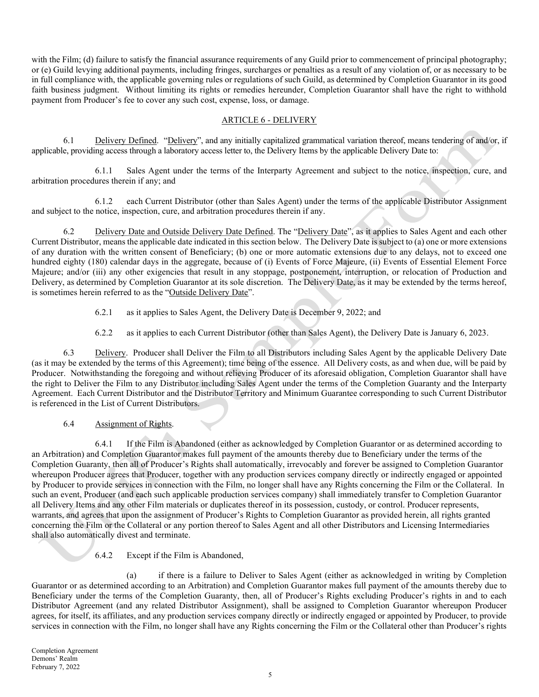with the Film; (d) failure to satisfy the financial assurance requirements of any Guild prior to commencement of principal photography; or (e) Guild levying additional payments, including fringes, surcharges or penalties as a result of any violation of, or as necessary to be in full compliance with, the applicable governing rules or regulations of such Guild, as determined by Completion Guarantor in its good faith business judgment. Without limiting its rights or remedies hereunder, Completion Guarantor shall have the right to withhold payment from Producer's fee to cover any such cost, expense, loss, or damage.

## ARTICLE 6 - DELIVERY

6.1 Delivery Defined. "Delivery", and any initially capitalized grammatical variation thereof, means tendering of and/or, if applicable, providing access through a laboratory access letter to, the Delivery Items by the applicable Delivery Date to:

6.1.1 Sales Agent under the terms of the Interparty Agreement and subject to the notice, inspection, cure, and arbitration procedures therein if any; and

6.1.2 each Current Distributor (other than Sales Agent) under the terms of the applicable Distributor Assignment and subject to the notice, inspection, cure, and arbitration procedures therein if any.

6.2 Delivery Date and Outside Delivery Date Defined. The "Delivery Date", as it applies to Sales Agent and each other Current Distributor, means the applicable date indicated in this section below. The Delivery Date is subject to (a) one or more extensions of any duration with the written consent of Beneficiary; (b) one or more automatic extensions due to any delays, not to exceed one hundred eighty (180) calendar days in the aggregate, because of (i) Events of Force Majeure, (ii) Events of Essential Element Force Majeure; and/or (iii) any other exigencies that result in any stoppage, postponement, interruption, or relocation of Production and Delivery, as determined by Completion Guarantor at its sole discretion. The Delivery Date, as it may be extended by the terms hereof, is sometimes herein referred to as the "Outside Delivery Date".

6.2.1 as it applies to Sales Agent, the Delivery Date is December 9, 2022; and

6.2.2 as it applies to each Current Distributor (other than Sales Agent), the Delivery Date is January 6, 2023.

6.3 Delivery. Producer shall Deliver the Film to all Distributors including Sales Agent by the applicable Delivery Date (as it may be extended by the terms of this Agreement); time being of the essence. All Delivery costs, as and when due, will be paid by Producer. Notwithstanding the foregoing and without relieving Producer of its aforesaid obligation, Completion Guarantor shall have the right to Deliver the Film to any Distributor including Sales Agent under the terms of the Completion Guaranty and the Interparty Agreement. Each Current Distributor and the Distributor Territory and Minimum Guarantee corresponding to such Current Distributor is referenced in the List of Current Distributors.

6.4 Assignment of Rights.

6.4.1 If the Film is Abandoned (either as acknowledged by Completion Guarantor or as determined according to an Arbitration) and Completion Guarantor makes full payment of the amounts thereby due to Beneficiary under the terms of the Completion Guaranty, then all of Producer's Rights shall automatically, irrevocably and forever be assigned to Completion Guarantor whereupon Producer agrees that Producer, together with any production services company directly or indirectly engaged or appointed by Producer to provide services in connection with the Film, no longer shall have any Rights concerning the Film or the Collateral. In such an event, Producer (and each such applicable production services company) shall immediately transfer to Completion Guarantor all Delivery Items and any other Film materials or duplicates thereof in its possession, custody, or control. Producer represents, warrants, and agrees that upon the assignment of Producer's Rights to Completion Guarantor as provided herein, all rights granted concerning the Film or the Collateral or any portion thereof to Sales Agent and all other Distributors and Licensing Intermediaries shall also automatically divest and terminate.

6.4.2 Except if the Film is Abandoned,

(a) if there is a failure to Deliver to Sales Agent (either as acknowledged in writing by Completion Guarantor or as determined according to an Arbitration) and Completion Guarantor makes full payment of the amounts thereby due to Beneficiary under the terms of the Completion Guaranty, then, all of Producer's Rights excluding Producer's rights in and to each Distributor Agreement (and any related Distributor Assignment), shall be assigned to Completion Guarantor whereupon Producer agrees, for itself, its affiliates, and any production services company directly or indirectly engaged or appointed by Producer, to provide services in connection with the Film, no longer shall have any Rights concerning the Film or the Collateral other than Producer's rights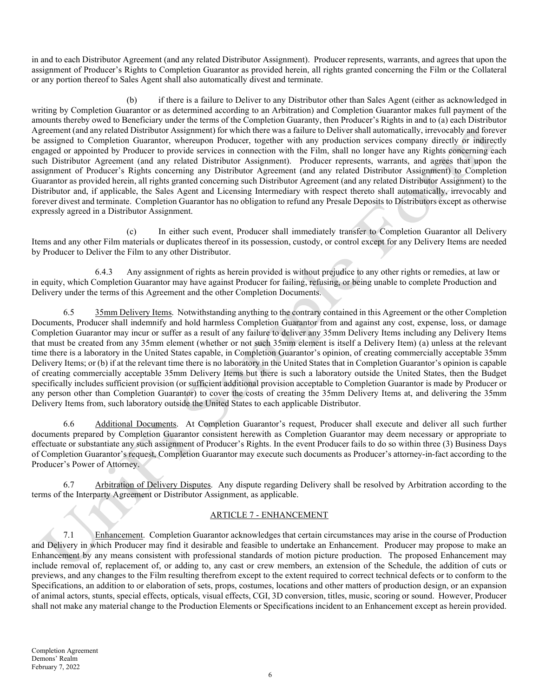in and to each Distributor Agreement (and any related Distributor Assignment). Producer represents, warrants, and agrees that upon the assignment of Producer's Rights to Completion Guarantor as provided herein, all rights granted concerning the Film or the Collateral or any portion thereof to Sales Agent shall also automatically divest and terminate.

(b) if there is a failure to Deliver to any Distributor other than Sales Agent (either as acknowledged in writing by Completion Guarantor or as determined according to an Arbitration) and Completion Guarantor makes full payment of the amounts thereby owed to Beneficiary under the terms of the Completion Guaranty, then Producer's Rights in and to (a) each Distributor Agreement (and any related Distributor Assignment) for which there was a failure to Deliver shall automatically, irrevocably and forever be assigned to Completion Guarantor, whereupon Producer, together with any production services company directly or indirectly engaged or appointed by Producer to provide services in connection with the Film, shall no longer have any Rights concerning each such Distributor Agreement (and any related Distributor Assignment). Producer represents, warrants, and agrees that upon the assignment of Producer's Rights concerning any Distributor Agreement (and any related Distributor Assignment) to Completion Guarantor as provided herein, all rights granted concerning such Distributor Agreement (and any related Distributor Assignment) to the Distributor and, if applicable, the Sales Agent and Licensing Intermediary with respect thereto shall automatically, irrevocably and forever divest and terminate. Completion Guarantor has no obligation to refund any Presale Deposits to Distributors except as otherwise expressly agreed in a Distributor Assignment.

(c) In either such event, Producer shall immediately transfer to Completion Guarantor all Delivery Items and any other Film materials or duplicates thereof in its possession, custody, or control except for any Delivery Items are needed by Producer to Deliver the Film to any other Distributor.

6.4.3 Any assignment of rights as herein provided is without prejudice to any other rights or remedies, at law or in equity, which Completion Guarantor may have against Producer for failing, refusing, or being unable to complete Production and Delivery under the terms of this Agreement and the other Completion Documents.

6.5 35mm Delivery Items. Notwithstanding anything to the contrary contained in this Agreement or the other Completion Documents, Producer shall indemnify and hold harmless Completion Guarantor from and against any cost, expense, loss, or damage Completion Guarantor may incur or suffer as a result of any failure to deliver any 35mm Delivery Items including any Delivery Items that must be created from any 35mm element (whether or not such 35mm element is itself a Delivery Item) (a) unless at the relevant time there is a laboratory in the United States capable, in Completion Guarantor's opinion, of creating commercially acceptable 35mm Delivery Items; or (b) if at the relevant time there is no laboratory in the United States that in Completion Guarantor's opinion is capable of creating commercially acceptable 35mm Delivery Items but there is such a laboratory outside the United States, then the Budget specifically includes sufficient provision (or sufficient additional provision acceptable to Completion Guarantor is made by Producer or any person other than Completion Guarantor) to cover the costs of creating the 35mm Delivery Items at, and delivering the 35mm Delivery Items from, such laboratory outside the United States to each applicable Distributor.

6.6 Additional Documents. At Completion Guarantor's request, Producer shall execute and deliver all such further documents prepared by Completion Guarantor consistent herewith as Completion Guarantor may deem necessary or appropriate to effectuate or substantiate any such assignment of Producer's Rights. In the event Producer fails to do so within three (3) Business Days of Completion Guarantor's request, Completion Guarantor may execute such documents as Producer's attorney-in-fact according to the Producer's Power of Attorney.

6.7 Arbitration of Delivery Disputes. Any dispute regarding Delivery shall be resolved by Arbitration according to the terms of the Interparty Agreement or Distributor Assignment, as applicable.

## ARTICLE 7 - ENHANCEMENT

7.1 Enhancement. Completion Guarantor acknowledges that certain circumstances may arise in the course of Production and Delivery in which Producer may find it desirable and feasible to undertake an Enhancement. Producer may propose to make an Enhancement by any means consistent with professional standards of motion picture production. The proposed Enhancement may include removal of, replacement of, or adding to, any cast or crew members, an extension of the Schedule, the addition of cuts or previews, and any changes to the Film resulting therefrom except to the extent required to correct technical defects or to conform to the Specifications, an addition to or elaboration of sets, props, costumes, locations and other matters of production design, or an expansion of animal actors, stunts, special effects, opticals, visual effects, CGI, 3D conversion, titles, music, scoring or sound. However, Producer shall not make any material change to the Production Elements or Specifications incident to an Enhancement except as herein provided.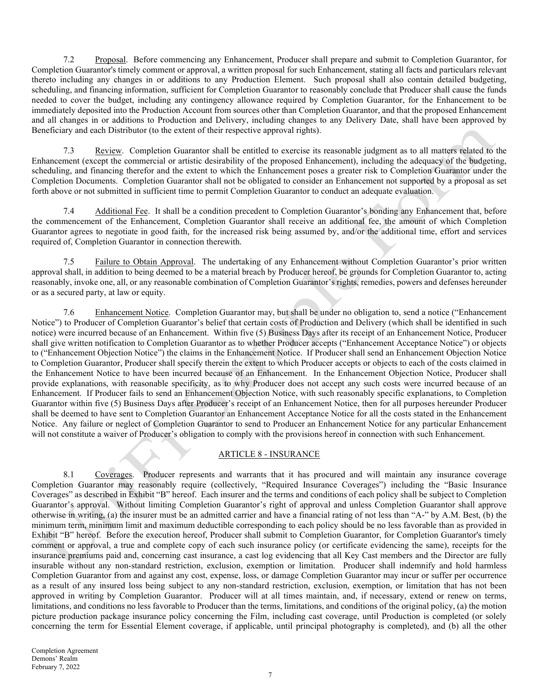7.2 Proposal. Before commencing any Enhancement, Producer shall prepare and submit to Completion Guarantor, for Completion Guarantor's timely comment or approval, a written proposal for such Enhancement, stating all facts and particulars relevant thereto including any changes in or additions to any Production Element. Such proposal shall also contain detailed budgeting, scheduling, and financing information, sufficient for Completion Guarantor to reasonably conclude that Producer shall cause the funds needed to cover the budget, including any contingency allowance required by Completion Guarantor, for the Enhancement to be immediately deposited into the Production Account from sources other than Completion Guarantor, and that the proposed Enhancement and all changes in or additions to Production and Delivery, including changes to any Delivery Date, shall have been approved by Beneficiary and each Distributor (to the extent of their respective approval rights).

7.3 Review. Completion Guarantor shall be entitled to exercise its reasonable judgment as to all matters related to the Enhancement (except the commercial or artistic desirability of the proposed Enhancement), including the adequacy of the budgeting, scheduling, and financing therefor and the extent to which the Enhancement poses a greater risk to Completion Guarantor under the Completion Documents. Completion Guarantor shall not be obligated to consider an Enhancement not supported by a proposal as set forth above or not submitted in sufficient time to permit Completion Guarantor to conduct an adequate evaluation.

7.4 Additional Fee. It shall be a condition precedent to Completion Guarantor's bonding any Enhancement that, before the commencement of the Enhancement, Completion Guarantor shall receive an additional fee, the amount of which Completion Guarantor agrees to negotiate in good faith, for the increased risk being assumed by, and/or the additional time, effort and services required of, Completion Guarantor in connection therewith.

7.5 Failure to Obtain Approval. The undertaking of any Enhancement without Completion Guarantor's prior written approval shall, in addition to being deemed to be a material breach by Producer hereof, be grounds for Completion Guarantor to, acting reasonably, invoke one, all, or any reasonable combination of Completion Guarantor's rights, remedies, powers and defenses hereunder or as a secured party, at law or equity.

7.6 Enhancement Notice. Completion Guarantor may, but shall be under no obligation to, send a notice ("Enhancement Notice") to Producer of Completion Guarantor's belief that certain costs of Production and Delivery (which shall be identified in such notice) were incurred because of an Enhancement. Within five (5) Business Days after its receipt of an Enhancement Notice, Producer shall give written notification to Completion Guarantor as to whether Producer accepts ("Enhancement Acceptance Notice") or objects to ("Enhancement Objection Notice") the claims in the Enhancement Notice. If Producer shall send an Enhancement Objection Notice to Completion Guarantor, Producer shall specify therein the extent to which Producer accepts or objects to each of the costs claimed in the Enhancement Notice to have been incurred because of an Enhancement. In the Enhancement Objection Notice, Producer shall provide explanations, with reasonable specificity, as to why Producer does not accept any such costs were incurred because of an Enhancement. If Producer fails to send an Enhancement Objection Notice, with such reasonably specific explanations, to Completion Guarantor within five (5) Business Days after Producer's receipt of an Enhancement Notice, then for all purposes hereunder Producer shall be deemed to have sent to Completion Guarantor an Enhancement Acceptance Notice for all the costs stated in the Enhancement Notice. Any failure or neglect of Completion Guarantor to send to Producer an Enhancement Notice for any particular Enhancement will not constitute a waiver of Producer's obligation to comply with the provisions hereof in connection with such Enhancement.

### ARTICLE 8 - INSURANCE

8.1 Coverages. Producer represents and warrants that it has procured and will maintain any insurance coverage Completion Guarantor may reasonably require (collectively, "Required Insurance Coverages") including the "Basic Insurance Coverages" as described in Exhibit "B" hereof. Each insurer and the terms and conditions of each policy shall be subject to Completion Guarantor's approval. Without limiting Completion Guarantor's right of approval and unless Completion Guarantor shall approve otherwise in writing, (a) the insurer must be an admitted carrier and have a financial rating of not less than "A-" by A.M. Best, (b) the minimum term, minimum limit and maximum deductible corresponding to each policy should be no less favorable than as provided in Exhibit "B" hereof. Before the execution hereof, Producer shall submit to Completion Guarantor, for Completion Guarantor's timely comment or approval, a true and complete copy of each such insurance policy (or certificate evidencing the same), receipts for the insurance premiums paid and, concerning cast insurance, a cast log evidencing that all Key Cast members and the Director are fully insurable without any non-standard restriction, exclusion, exemption or limitation. Producer shall indemnify and hold harmless Completion Guarantor from and against any cost, expense, loss, or damage Completion Guarantor may incur or suffer per occurrence as a result of any insured loss being subject to any non-standard restriction, exclusion, exemption, or limitation that has not been approved in writing by Completion Guarantor. Producer will at all times maintain, and, if necessary, extend or renew on terms, limitations, and conditions no less favorable to Producer than the terms, limitations, and conditions of the original policy, (a) the motion picture production package insurance policy concerning the Film, including cast coverage, until Production is completed (or solely concerning the term for Essential Element coverage, if applicable, until principal photography is completed), and (b) all the other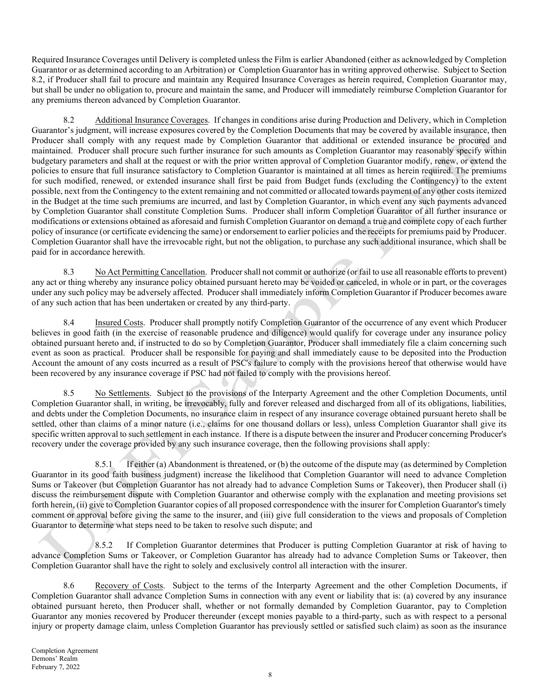Required Insurance Coverages until Delivery is completed unless the Film is earlier Abandoned (either as acknowledged by Completion Guarantor or as determined according to an Arbitration) or Completion Guarantor has in writing approved otherwise. Subject to Section 8.2, if Producer shall fail to procure and maintain any Required Insurance Coverages as herein required, Completion Guarantor may, but shall be under no obligation to, procure and maintain the same, and Producer will immediately reimburse Completion Guarantor for any premiums thereon advanced by Completion Guarantor.

8.2 Additional Insurance Coverages. If changes in conditions arise during Production and Delivery, which in Completion Guarantor's judgment, will increase exposures covered by the Completion Documents that may be covered by available insurance, then Producer shall comply with any request made by Completion Guarantor that additional or extended insurance be procured and maintained. Producer shall procure such further insurance for such amounts as Completion Guarantor may reasonably specify within budgetary parameters and shall at the request or with the prior written approval of Completion Guarantor modify, renew, or extend the policies to ensure that full insurance satisfactory to Completion Guarantor is maintained at all times as herein required. The premiums for such modified, renewed, or extended insurance shall first be paid from Budget funds (excluding the Contingency) to the extent possible, next from the Contingency to the extent remaining and not committed or allocated towards payment of any other costs itemized in the Budget at the time such premiums are incurred, and last by Completion Guarantor, in which event any such payments advanced by Completion Guarantor shall constitute Completion Sums. Producer shall inform Completion Guarantor of all further insurance or modifications or extensions obtained as aforesaid and furnish Completion Guarantor on demand a true and complete copy of each further policy of insurance (or certificate evidencing the same) or endorsement to earlier policies and the receipts for premiums paid by Producer. Completion Guarantor shall have the irrevocable right, but not the obligation, to purchase any such additional insurance, which shall be paid for in accordance herewith.

8.3 No Act Permitting Cancellation. Producer shall not commit or authorize (or fail to use all reasonable efforts to prevent) any act or thing whereby any insurance policy obtained pursuant hereto may be voided or canceled, in whole or in part, or the coverages under any such policy may be adversely affected. Producer shall immediately inform Completion Guarantor if Producer becomes aware of any such action that has been undertaken or created by any third-party.

8.4 Insured Costs. Producer shall promptly notify Completion Guarantor of the occurrence of any event which Producer believes in good faith (in the exercise of reasonable prudence and diligence) would qualify for coverage under any insurance policy obtained pursuant hereto and, if instructed to do so by Completion Guarantor, Producer shall immediately file a claim concerning such event as soon as practical. Producer shall be responsible for paying and shall immediately cause to be deposited into the Production Account the amount of any costs incurred as a result of PSC's failure to comply with the provisions hereof that otherwise would have been recovered by any insurance coverage if PSC had not failed to comply with the provisions hereof.

8.5 No Settlements. Subject to the provisions of the Interparty Agreement and the other Completion Documents, until Completion Guarantor shall, in writing, be irrevocably, fully and forever released and discharged from all of its obligations, liabilities, and debts under the Completion Documents, no insurance claim in respect of any insurance coverage obtained pursuant hereto shall be settled, other than claims of a minor nature (i.e., claims for one thousand dollars or less), unless Completion Guarantor shall give its specific written approval to such settlement in each instance. If there is a dispute between the insurer and Producer concerning Producer's recovery under the coverage provided by any such insurance coverage, then the following provisions shall apply:

8.5.1 If either (a) Abandonment is threatened, or (b) the outcome of the dispute may (as determined by Completion Guarantor in its good faith business judgment) increase the likelihood that Completion Guarantor will need to advance Completion Sums or Takeover (but Completion Guarantor has not already had to advance Completion Sums or Takeover), then Producer shall (i) discuss the reimbursement dispute with Completion Guarantor and otherwise comply with the explanation and meeting provisions set forth herein, (ii) give to Completion Guarantor copies of all proposed correspondence with the insurer for Completion Guarantor's timely comment or approval before giving the same to the insurer, and (iii) give full consideration to the views and proposals of Completion Guarantor to determine what steps need to be taken to resolve such dispute; and

8.5.2 If Completion Guarantor determines that Producer is putting Completion Guarantor at risk of having to advance Completion Sums or Takeover, or Completion Guarantor has already had to advance Completion Sums or Takeover, then Completion Guarantor shall have the right to solely and exclusively control all interaction with the insurer.

8.6 Recovery of Costs. Subject to the terms of the Interparty Agreement and the other Completion Documents, if Completion Guarantor shall advance Completion Sums in connection with any event or liability that is: (a) covered by any insurance obtained pursuant hereto, then Producer shall, whether or not formally demanded by Completion Guarantor, pay to Completion Guarantor any monies recovered by Producer thereunder (except monies payable to a third-party, such as with respect to a personal injury or property damage claim, unless Completion Guarantor has previously settled or satisfied such claim) as soon as the insurance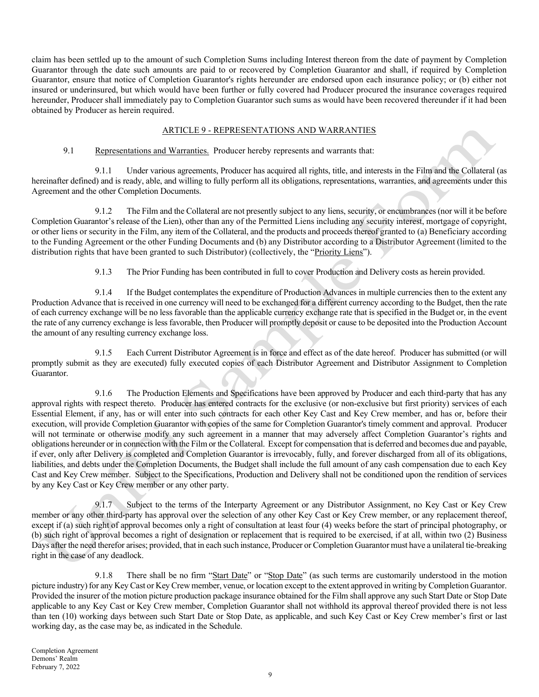claim has been settled up to the amount of such Completion Sums including Interest thereon from the date of payment by Completion Guarantor through the date such amounts are paid to or recovered by Completion Guarantor and shall, if required by Completion Guarantor, ensure that notice of Completion Guarantor's rights hereunder are endorsed upon each insurance policy; or (b) either not insured or underinsured, but which would have been further or fully covered had Producer procured the insurance coverages required hereunder, Producer shall immediately pay to Completion Guarantor such sums as would have been recovered thereunder if it had been obtained by Producer as herein required.

### ARTICLE 9 - REPRESENTATIONS AND WARRANTIES

## 9.1 Representations and Warranties. Producer hereby represents and warrants that:

9.1.1 Under various agreements, Producer has acquired all rights, title, and interests in the Film and the Collateral (as hereinafter defined) and is ready, able, and willing to fully perform all its obligations, representations, warranties, and agreements under this Agreement and the other Completion Documents.

9.1.2 The Film and the Collateral are not presently subject to any liens, security, or encumbrances (nor will it be before Completion Guarantor's release of the Lien), other than any of the Permitted Liens including any security interest, mortgage of copyright, or other liens or security in the Film, any item of the Collateral, and the products and proceeds thereof granted to (a) Beneficiary according to the Funding Agreement or the other Funding Documents and (b) any Distributor according to a Distributor Agreement (limited to the distribution rights that have been granted to such Distributor) (collectively, the "Priority Liens").

9.1.3 The Prior Funding has been contributed in full to cover Production and Delivery costs as herein provided.

9.1.4 If the Budget contemplates the expenditure of Production Advances in multiple currencies then to the extent any Production Advance that is received in one currency will need to be exchanged for a different currency according to the Budget, then the rate of each currency exchange will be no less favorable than the applicable currency exchange rate that is specified in the Budget or, in the event the rate of any currency exchange is less favorable, then Producer will promptly deposit or cause to be deposited into the Production Account the amount of any resulting currency exchange loss.

9.1.5 Each Current Distributor Agreement is in force and effect as of the date hereof. Producer has submitted (or will promptly submit as they are executed) fully executed copies of each Distributor Agreement and Distributor Assignment to Completion Guarantor.

9.1.6 The Production Elements and Specifications have been approved by Producer and each third-party that has any approval rights with respect thereto. Producer has entered contracts for the exclusive (or non-exclusive but first priority) services of each Essential Element, if any, has or will enter into such contracts for each other Key Cast and Key Crew member, and has or, before their execution, will provide Completion Guarantor with copies of the same for Completion Guarantor's timely comment and approval. Producer will not terminate or otherwise modify any such agreement in a manner that may adversely affect Completion Guarantor's rights and obligations hereunder or in connection with the Film or the Collateral. Except for compensation that is deferred and becomes due and payable, if ever, only after Delivery is completed and Completion Guarantor is irrevocably, fully, and forever discharged from all of its obligations, liabilities, and debts under the Completion Documents, the Budget shall include the full amount of any cash compensation due to each Key Cast and Key Crew member. Subject to the Specifications, Production and Delivery shall not be conditioned upon the rendition of services by any Key Cast or Key Crew member or any other party.

9.1.7 Subject to the terms of the Interparty Agreement or any Distributor Assignment, no Key Cast or Key Crew member or any other third-party has approval over the selection of any other Key Cast or Key Crew member, or any replacement thereof, except if (a) such right of approval becomes only a right of consultation at least four (4) weeks before the start of principal photography, or (b) such right of approval becomes a right of designation or replacement that is required to be exercised, if at all, within two (2) Business Days after the need therefor arises; provided, that in each such instance, Producer or Completion Guarantor must have a unilateral tie-breaking right in the case of any deadlock.

9.1.8 There shall be no firm "Start Date" or "Stop Date" (as such terms are customarily understood in the motion picture industry) for any Key Cast or Key Crew member, venue, or location except to the extent approved in writing by Completion Guarantor. Provided the insurer of the motion picture production package insurance obtained for the Film shall approve any such Start Date or Stop Date applicable to any Key Cast or Key Crew member, Completion Guarantor shall not withhold its approval thereof provided there is not less than ten (10) working days between such Start Date or Stop Date, as applicable, and such Key Cast or Key Crew member's first or last working day, as the case may be, as indicated in the Schedule.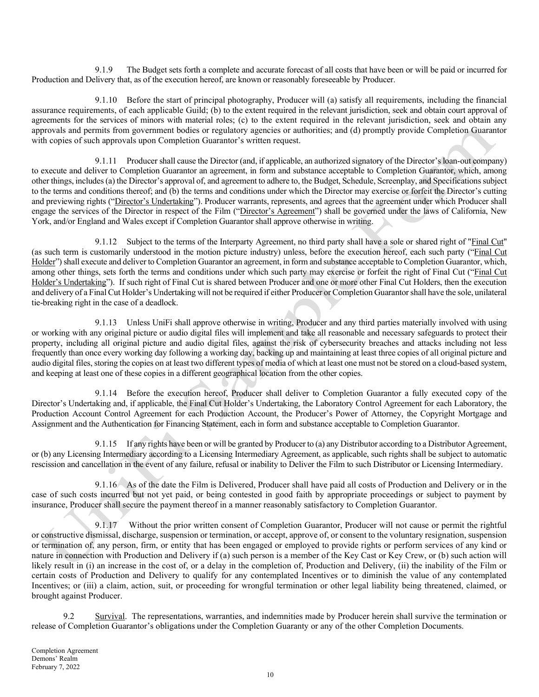9.1.9 The Budget sets forth a complete and accurate forecast of all costs that have been or will be paid or incurred for Production and Delivery that, as of the execution hereof, are known or reasonably foreseeable by Producer.

9.1.10 Before the start of principal photography, Producer will (a) satisfy all requirements, including the financial assurance requirements, of each applicable Guild; (b) to the extent required in the relevant jurisdiction, seek and obtain court approval of agreements for the services of minors with material roles; (c) to the extent required in the relevant jurisdiction, seek and obtain any approvals and permits from government bodies or regulatory agencies or authorities; and (d) promptly provide Completion Guarantor with copies of such approvals upon Completion Guarantor's written request.

9.1.11 Producer shall cause the Director (and, if applicable, an authorized signatory of the Director's loan-out company) to execute and deliver to Completion Guarantor an agreement, in form and substance acceptable to Completion Guarantor, which, among other things, includes (a) the Director's approval of, and agreement to adhere to, the Budget, Schedule, Screenplay, and Specifications subject to the terms and conditions thereof; and (b) the terms and conditions under which the Director may exercise or forfeit the Director's cutting and previewing rights ("Director's Undertaking"). Producer warrants, represents, and agrees that the agreement under which Producer shall engage the services of the Director in respect of the Film ("Director's Agreement") shall be governed under the laws of California, New York, and/or England and Wales except if Completion Guarantor shall approve otherwise in writing.

9.1.12 Subject to the terms of the Interparty Agreement, no third party shall have a sole or shared right of "Final Cut" (as such term is customarily understood in the motion picture industry) unless, before the execution hereof, each such party ("Final Cut Holder") shall execute and deliver to Completion Guarantor an agreement, in form and substance acceptable to Completion Guarantor, which, among other things, sets forth the terms and conditions under which such party may exercise or forfeit the right of Final Cut ("Final Cut Holder's Undertaking"). If such right of Final Cut is shared between Producer and one or more other Final Cut Holders, then the execution and delivery of a Final Cut Holder's Undertaking will not be required if either Producer or Completion Guarantor shall have the sole, unilateral tie-breaking right in the case of a deadlock.

9.1.13 Unless UniFi shall approve otherwise in writing, Producer and any third parties materially involved with using or working with any original picture or audio digital files will implement and take all reasonable and necessary safeguards to protect their property, including all original picture and audio digital files, against the risk of cybersecurity breaches and attacks including not less frequently than once every working day following a working day, backing up and maintaining at least three copies of all original picture and audio digital files, storing the copies on at least two different types of media of which at least one must not be stored on a cloud-based system, and keeping at least one of these copies in a different geographical location from the other copies.

9.1.14 Before the execution hereof, Producer shall deliver to Completion Guarantor a fully executed copy of the Director's Undertaking and, if applicable, the Final Cut Holder's Undertaking, the Laboratory Control Agreement for each Laboratory, the Production Account Control Agreement for each Production Account, the Producer's Power of Attorney, the Copyright Mortgage and Assignment and the Authentication for Financing Statement, each in form and substance acceptable to Completion Guarantor.

9.1.15 If any rights have been or will be granted by Producer to (a) any Distributor according to a Distributor Agreement, or (b) any Licensing Intermediary according to a Licensing Intermediary Agreement, as applicable, such rights shall be subject to automatic rescission and cancellation in the event of any failure, refusal or inability to Deliver the Film to such Distributor or Licensing Intermediary.

9.1.16 As of the date the Film is Delivered, Producer shall have paid all costs of Production and Delivery or in the case of such costs incurred but not yet paid, or being contested in good faith by appropriate proceedings or subject to payment by insurance, Producer shall secure the payment thereof in a manner reasonably satisfactory to Completion Guarantor.

9.1.17 Without the prior written consent of Completion Guarantor, Producer will not cause or permit the rightful or constructive dismissal, discharge, suspension or termination, or accept, approve of, or consent to the voluntary resignation, suspension or termination of, any person, firm, or entity that has been engaged or employed to provide rights or perform services of any kind or nature in connection with Production and Delivery if (a) such person is a member of the Key Cast or Key Crew, or (b) such action will likely result in (i) an increase in the cost of, or a delay in the completion of, Production and Delivery, (ii) the inability of the Film or certain costs of Production and Delivery to qualify for any contemplated Incentives or to diminish the value of any contemplated Incentives; or (iii) a claim, action, suit, or proceeding for wrongful termination or other legal liability being threatened, claimed, or brought against Producer.

9.2 Survival. The representations, warranties, and indemnities made by Producer herein shall survive the termination or release of Completion Guarantor's obligations under the Completion Guaranty or any of the other Completion Documents.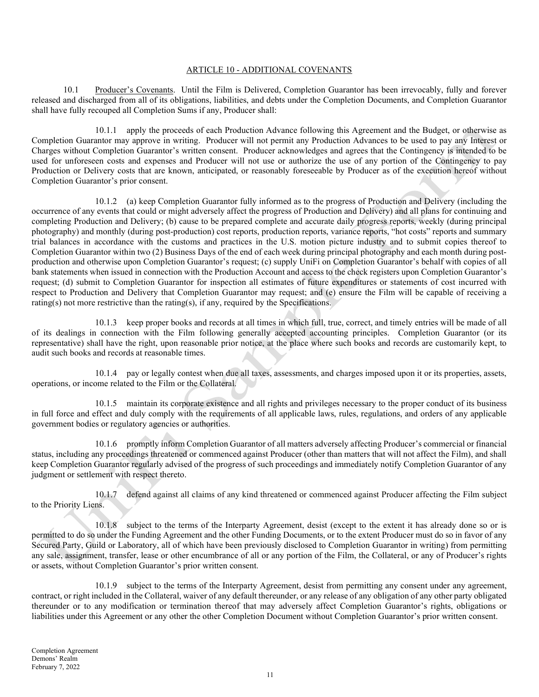#### ARTICLE 10 - ADDITIONAL COVENANTS

10.1 Producer's Covenants. Until the Film is Delivered, Completion Guarantor has been irrevocably, fully and forever released and discharged from all of its obligations, liabilities, and debts under the Completion Documents, and Completion Guarantor shall have fully recouped all Completion Sums if any, Producer shall:

10.1.1 apply the proceeds of each Production Advance following this Agreement and the Budget, or otherwise as Completion Guarantor may approve in writing. Producer will not permit any Production Advances to be used to pay any Interest or Charges without Completion Guarantor's written consent. Producer acknowledges and agrees that the Contingency is intended to be used for unforeseen costs and expenses and Producer will not use or authorize the use of any portion of the Contingency to pay Production or Delivery costs that are known, anticipated, or reasonably foreseeable by Producer as of the execution hereof without Completion Guarantor's prior consent.

10.1.2 (a) keep Completion Guarantor fully informed as to the progress of Production and Delivery (including the occurrence of any events that could or might adversely affect the progress of Production and Delivery) and all plans for continuing and completing Production and Delivery; (b) cause to be prepared complete and accurate daily progress reports, weekly (during principal photography) and monthly (during post-production) cost reports, production reports, variance reports, "hot costs" reports and summary trial balances in accordance with the customs and practices in the U.S. motion picture industry and to submit copies thereof to Completion Guarantor within two (2) Business Days of the end of each week during principal photography and each month during postproduction and otherwise upon Completion Guarantor's request; (c) supply UniFi on Completion Guarantor's behalf with copies of all bank statements when issued in connection with the Production Account and access to the check registers upon Completion Guarantor's request; (d) submit to Completion Guarantor for inspection all estimates of future expenditures or statements of cost incurred with respect to Production and Delivery that Completion Guarantor may request; and (e) ensure the Film will be capable of receiving a rating(s) not more restrictive than the rating(s), if any, required by the Specifications.

10.1.3 keep proper books and records at all times in which full, true, correct, and timely entries will be made of all of its dealings in connection with the Film following generally accepted accounting principles. Completion Guarantor (or its representative) shall have the right, upon reasonable prior notice, at the place where such books and records are customarily kept, to audit such books and records at reasonable times.

10.1.4 pay or legally contest when due all taxes, assessments, and charges imposed upon it or its properties, assets, operations, or income related to the Film or the Collateral.

10.1.5 maintain its corporate existence and all rights and privileges necessary to the proper conduct of its business in full force and effect and duly comply with the requirements of all applicable laws, rules, regulations, and orders of any applicable government bodies or regulatory agencies or authorities.

10.1.6 promptly inform Completion Guarantor of all matters adversely affecting Producer's commercial or financial status, including any proceedings threatened or commenced against Producer (other than matters that will not affect the Film), and shall keep Completion Guarantor regularly advised of the progress of such proceedings and immediately notify Completion Guarantor of any judgment or settlement with respect thereto.

10.1.7 defend against all claims of any kind threatened or commenced against Producer affecting the Film subject to the Priority Liens.

10.1.8 subject to the terms of the Interparty Agreement, desist (except to the extent it has already done so or is permitted to do so under the Funding Agreement and the other Funding Documents, or to the extent Producer must do so in favor of any Secured Party, Guild or Laboratory, all of which have been previously disclosed to Completion Guarantor in writing) from permitting any sale, assignment, transfer, lease or other encumbrance of all or any portion of the Film, the Collateral, or any of Producer's rights or assets, without Completion Guarantor's prior written consent.

10.1.9 subject to the terms of the Interparty Agreement, desist from permitting any consent under any agreement, contract, or right included in the Collateral, waiver of any default thereunder, or any release of any obligation of any other party obligated thereunder or to any modification or termination thereof that may adversely affect Completion Guarantor's rights, obligations or liabilities under this Agreement or any other the other Completion Document without Completion Guarantor's prior written consent.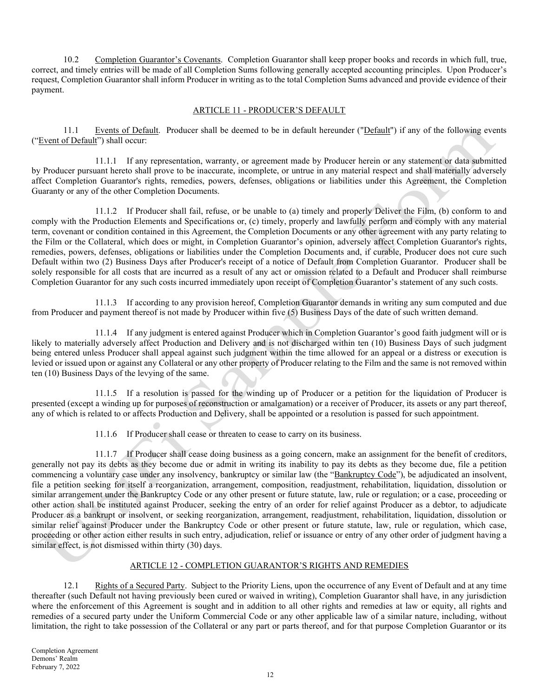10.2 Completion Guarantor's Covenants. Completion Guarantor shall keep proper books and records in which full, true, correct, and timely entries will be made of all Completion Sums following generally accepted accounting principles. Upon Producer's request, Completion Guarantor shall inform Producer in writing as to the total Completion Sums advanced and provide evidence of their payment.

### ARTICLE 11 - PRODUCER'S DEFAULT

11.1 Events of Default. Producer shall be deemed to be in default hereunder ("Default") if any of the following events ("Event of Default") shall occur:

11.1.1 If any representation, warranty, or agreement made by Producer herein or any statement or data submitted by Producer pursuant hereto shall prove to be inaccurate, incomplete, or untrue in any material respect and shall materially adversely affect Completion Guarantor's rights, remedies, powers, defenses, obligations or liabilities under this Agreement, the Completion Guaranty or any of the other Completion Documents.

11.1.2 If Producer shall fail, refuse, or be unable to (a) timely and properly Deliver the Film, (b) conform to and comply with the Production Elements and Specifications or, (c) timely, properly and lawfully perform and comply with any material term, covenant or condition contained in this Agreement, the Completion Documents or any other agreement with any party relating to the Film or the Collateral, which does or might, in Completion Guarantor's opinion, adversely affect Completion Guarantor's rights, remedies, powers, defenses, obligations or liabilities under the Completion Documents and, if curable, Producer does not cure such Default within two (2) Business Days after Producer's receipt of a notice of Default from Completion Guarantor. Producer shall be solely responsible for all costs that are incurred as a result of any act or omission related to a Default and Producer shall reimburse Completion Guarantor for any such costs incurred immediately upon receipt of Completion Guarantor's statement of any such costs.

11.1.3 If according to any provision hereof, Completion Guarantor demands in writing any sum computed and due from Producer and payment thereof is not made by Producer within five (5) Business Days of the date of such written demand.

11.1.4 If any judgment is entered against Producer which in Completion Guarantor's good faith judgment will or is likely to materially adversely affect Production and Delivery and is not discharged within ten (10) Business Days of such judgment being entered unless Producer shall appeal against such judgment within the time allowed for an appeal or a distress or execution is levied or issued upon or against any Collateral or any other property of Producer relating to the Film and the same is not removed within ten (10) Business Days of the levying of the same.

11.1.5 If a resolution is passed for the winding up of Producer or a petition for the liquidation of Producer is presented (except a winding up for purposes of reconstruction or amalgamation) or a receiver of Producer, its assets or any part thereof, any of which is related to or affects Production and Delivery, shall be appointed or a resolution is passed for such appointment.

11.1.6 If Producer shall cease or threaten to cease to carry on its business.

11.1.7 If Producer shall cease doing business as a going concern, make an assignment for the benefit of creditors, generally not pay its debts as they become due or admit in writing its inability to pay its debts as they become due, file a petition commencing a voluntary case under any insolvency, bankruptcy or similar law (the "Bankruptcy Code"), be adjudicated an insolvent, file a petition seeking for itself a reorganization, arrangement, composition, readjustment, rehabilitation, liquidation, dissolution or similar arrangement under the Bankruptcy Code or any other present or future statute, law, rule or regulation; or a case, proceeding or other action shall be instituted against Producer, seeking the entry of an order for relief against Producer as a debtor, to adjudicate Producer as a bankrupt or insolvent, or seeking reorganization, arrangement, readjustment, rehabilitation, liquidation, dissolution or similar relief against Producer under the Bankruptcy Code or other present or future statute, law, rule or regulation, which case, proceeding or other action either results in such entry, adjudication, relief or issuance or entry of any other order of judgment having a similar effect, is not dismissed within thirty (30) days.

# ARTICLE 12 - COMPLETION GUARANTOR'S RIGHTS AND REMEDIES

12.1 Rights of a Secured Party. Subject to the Priority Liens, upon the occurrence of any Event of Default and at any time thereafter (such Default not having previously been cured or waived in writing), Completion Guarantor shall have, in any jurisdiction where the enforcement of this Agreement is sought and in addition to all other rights and remedies at law or equity, all rights and remedies of a secured party under the Uniform Commercial Code or any other applicable law of a similar nature, including, without limitation, the right to take possession of the Collateral or any part or parts thereof, and for that purpose Completion Guarantor or its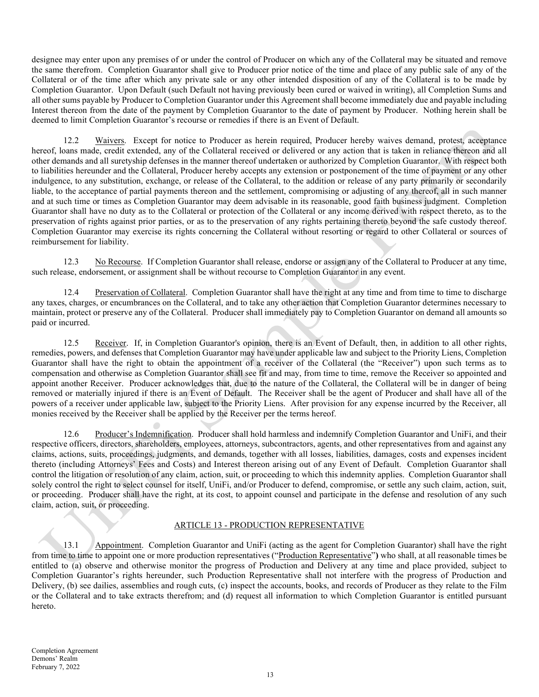designee may enter upon any premises of or under the control of Producer on which any of the Collateral may be situated and remove the same therefrom. Completion Guarantor shall give to Producer prior notice of the time and place of any public sale of any of the Collateral or of the time after which any private sale or any other intended disposition of any of the Collateral is to be made by Completion Guarantor. Upon Default (such Default not having previously been cured or waived in writing), all Completion Sums and all other sums payable by Producer to Completion Guarantor under this Agreement shall become immediately due and payable including Interest thereon from the date of the payment by Completion Guarantor to the date of payment by Producer. Nothing herein shall be deemed to limit Completion Guarantor's recourse or remedies if there is an Event of Default.

12.2 Waivers. Except for notice to Producer as herein required, Producer hereby waives demand, protest, acceptance hereof, loans made, credit extended, any of the Collateral received or delivered or any action that is taken in reliance thereon and all other demands and all suretyship defenses in the manner thereof undertaken or authorized by Completion Guarantor. With respect both to liabilities hereunder and the Collateral, Producer hereby accepts any extension or postponement of the time of payment or any other indulgence, to any substitution, exchange, or release of the Collateral, to the addition or release of any party primarily or secondarily liable, to the acceptance of partial payments thereon and the settlement, compromising or adjusting of any thereof, all in such manner and at such time or times as Completion Guarantor may deem advisable in its reasonable, good faith business judgment. Completion Guarantor shall have no duty as to the Collateral or protection of the Collateral or any income derived with respect thereto, as to the preservation of rights against prior parties, or as to the preservation of any rights pertaining thereto beyond the safe custody thereof. Completion Guarantor may exercise its rights concerning the Collateral without resorting or regard to other Collateral or sources of reimbursement for liability.

12.3 No Recourse. If Completion Guarantor shall release, endorse or assign any of the Collateral to Producer at any time, such release, endorsement, or assignment shall be without recourse to Completion Guarantor in any event.

12.4 Preservation of Collateral. Completion Guarantor shall have the right at any time and from time to time to discharge any taxes, charges, or encumbrances on the Collateral, and to take any other action that Completion Guarantor determines necessary to maintain, protect or preserve any of the Collateral. Producer shall immediately pay to Completion Guarantor on demand all amounts so paid or incurred.

12.5 Receiver. If, in Completion Guarantor's opinion, there is an Event of Default, then, in addition to all other rights, remedies, powers, and defenses that Completion Guarantor may have under applicable law and subject to the Priority Liens, Completion Guarantor shall have the right to obtain the appointment of a receiver of the Collateral (the "Receiver") upon such terms as to compensation and otherwise as Completion Guarantor shall see fit and may, from time to time, remove the Receiver so appointed and appoint another Receiver. Producer acknowledges that, due to the nature of the Collateral, the Collateral will be in danger of being removed or materially injured if there is an Event of Default. The Receiver shall be the agent of Producer and shall have all of the powers of a receiver under applicable law, subject to the Priority Liens. After provision for any expense incurred by the Receiver, all monies received by the Receiver shall be applied by the Receiver per the terms hereof.

12.6 Producer's Indemnification. Producer shall hold harmless and indemnify Completion Guarantor and UniFi, and their respective officers, directors, shareholders, employees, attorneys, subcontractors, agents, and other representatives from and against any claims, actions, suits, proceedings, judgments, and demands, together with all losses, liabilities, damages, costs and expenses incident thereto (including Attorneys' Fees and Costs) and Interest thereon arising out of any Event of Default. Completion Guarantor shall control the litigation or resolution of any claim, action, suit, or proceeding to which this indemnity applies. Completion Guarantor shall solely control the right to select counsel for itself, UniFi, and/or Producer to defend, compromise, or settle any such claim, action, suit, or proceeding. Producer shall have the right, at its cost, to appoint counsel and participate in the defense and resolution of any such claim, action, suit, or proceeding.

### ARTICLE 13 - PRODUCTION REPRESENTATIVE

13.1 Appointment. Completion Guarantor and UniFi (acting as the agent for Completion Guarantor) shall have the right from time to time to appoint one or more production representatives ("Production Representative") who shall, at all reasonable times be entitled to (a) observe and otherwise monitor the progress of Production and Delivery at any time and place provided, subject to Completion Guarantor's rights hereunder, such Production Representative shall not interfere with the progress of Production and Delivery, (b) see dailies, assemblies and rough cuts, (c) inspect the accounts, books, and records of Producer as they relate to the Film or the Collateral and to take extracts therefrom; and (d) request all information to which Completion Guarantor is entitled pursuant hereto.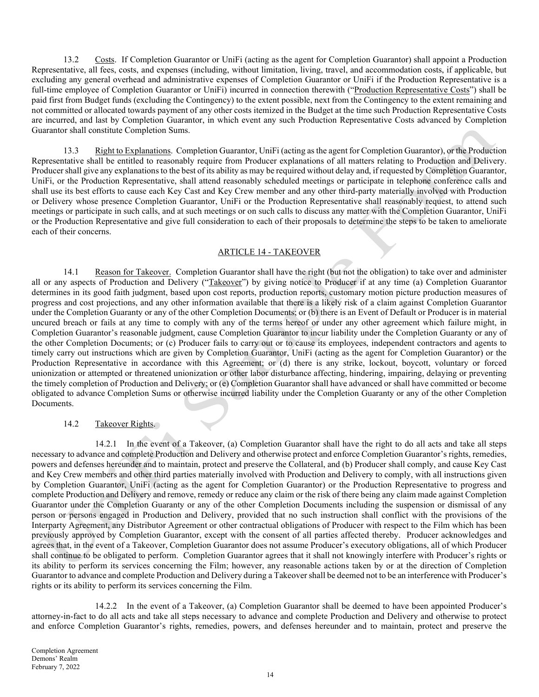13.2 Costs. If Completion Guarantor or UniFi (acting as the agent for Completion Guarantor) shall appoint a Production Representative, all fees, costs, and expenses (including, without limitation, living, travel, and accommodation costs, if applicable, but excluding any general overhead and administrative expenses of Completion Guarantor or UniFi if the Production Representative is a full-time employee of Completion Guarantor or UniFi) incurred in connection therewith ("Production Representative Costs") shall be paid first from Budget funds (excluding the Contingency) to the extent possible, next from the Contingency to the extent remaining and not committed or allocated towards payment of any other costs itemized in the Budget at the time such Production Representative Costs are incurred, and last by Completion Guarantor, in which event any such Production Representative Costs advanced by Completion Guarantor shall constitute Completion Sums.

13.3 Right to Explanations. Completion Guarantor, UniFi (acting as the agent for Completion Guarantor), or the Production Representative shall be entitled to reasonably require from Producer explanations of all matters relating to Production and Delivery. Producer shall give any explanations to the best of its ability as may be required without delay and, if requested by Completion Guarantor, UniFi, or the Production Representative, shall attend reasonably scheduled meetings or participate in telephone conference calls and shall use its best efforts to cause each Key Cast and Key Crew member and any other third-party materially involved with Production or Delivery whose presence Completion Guarantor, UniFi or the Production Representative shall reasonably request, to attend such meetings or participate in such calls, and at such meetings or on such calls to discuss any matter with the Completion Guarantor, UniFi or the Production Representative and give full consideration to each of their proposals to determine the steps to be taken to ameliorate each of their concerns.

## ARTICLE 14 - TAKEOVER

14.1 Reason for Takeover. Completion Guarantor shall have the right (but not the obligation) to take over and administer all or any aspects of Production and Delivery ("Takeover") by giving notice to Producer if at any time (a) Completion Guarantor determines in its good faith judgment, based upon cost reports, production reports, customary motion picture production measures of progress and cost projections, and any other information available that there is a likely risk of a claim against Completion Guarantor under the Completion Guaranty or any of the other Completion Documents; or (b) there is an Event of Default or Producer is in material uncured breach or fails at any time to comply with any of the terms hereof or under any other agreement which failure might, in Completion Guarantor's reasonable judgment, cause Completion Guarantor to incur liability under the Completion Guaranty or any of the other Completion Documents; or (c) Producer fails to carry out or to cause its employees, independent contractors and agents to timely carry out instructions which are given by Completion Guarantor, UniFi (acting as the agent for Completion Guarantor) or the Production Representative in accordance with this Agreement; or (d) there is any strike, lockout, boycott, voluntary or forced unionization or attempted or threatened unionization or other labor disturbance affecting, hindering, impairing, delaying or preventing the timely completion of Production and Delivery; or (e) Completion Guarantor shall have advanced or shall have committed or become obligated to advance Completion Sums or otherwise incurred liability under the Completion Guaranty or any of the other Completion Documents.

### 14.2 Takeover Rights.

14.2.1 In the event of a Takeover, (a) Completion Guarantor shall have the right to do all acts and take all steps necessary to advance and complete Production and Delivery and otherwise protect and enforce Completion Guarantor's rights, remedies, powers and defenses hereunder and to maintain, protect and preserve the Collateral, and (b) Producer shall comply, and cause Key Cast and Key Crew members and other third parties materially involved with Production and Delivery to comply, with all instructions given by Completion Guarantor, UniFi (acting as the agent for Completion Guarantor) or the Production Representative to progress and complete Production and Delivery and remove, remedy or reduce any claim or the risk of there being any claim made against Completion Guarantor under the Completion Guaranty or any of the other Completion Documents including the suspension or dismissal of any person or persons engaged in Production and Delivery, provided that no such instruction shall conflict with the provisions of the Interparty Agreement, any Distributor Agreement or other contractual obligations of Producer with respect to the Film which has been previously approved by Completion Guarantor, except with the consent of all parties affected thereby. Producer acknowledges and agrees that, in the event of a Takeover, Completion Guarantor does not assume Producer's executory obligations, all of which Producer shall continue to be obligated to perform. Completion Guarantor agrees that it shall not knowingly interfere with Producer's rights or its ability to perform its services concerning the Film; however, any reasonable actions taken by or at the direction of Completion Guarantor to advance and complete Production and Delivery during a Takeover shall be deemed not to be an interference with Producer's rights or its ability to perform its services concerning the Film.

14.2.2 In the event of a Takeover, (a) Completion Guarantor shall be deemed to have been appointed Producer's attorney-in-fact to do all acts and take all steps necessary to advance and complete Production and Delivery and otherwise to protect and enforce Completion Guarantor's rights, remedies, powers, and defenses hereunder and to maintain, protect and preserve the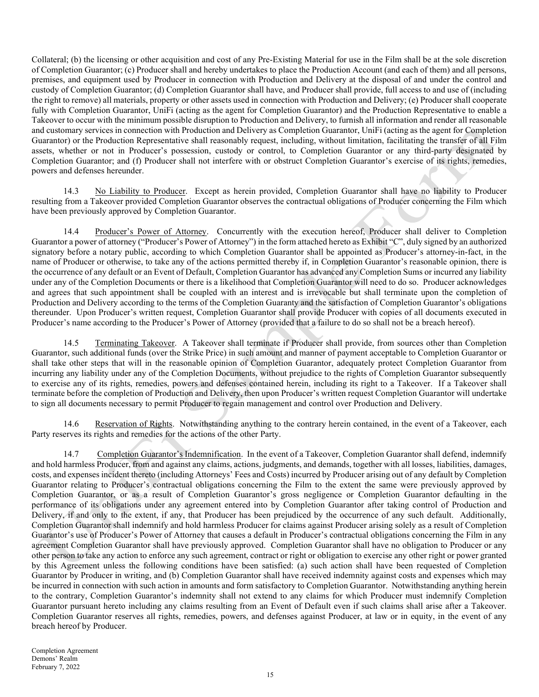Collateral; (b) the licensing or other acquisition and cost of any Pre-Existing Material for use in the Film shall be at the sole discretion of Completion Guarantor; (c) Producer shall and hereby undertakes to place the Production Account (and each of them) and all persons, premises, and equipment used by Producer in connection with Production and Delivery at the disposal of and under the control and custody of Completion Guarantor; (d) Completion Guarantor shall have, and Producer shall provide, full access to and use of (including the right to remove) all materials, property or other assets used in connection with Production and Delivery; (e) Producer shall cooperate fully with Completion Guarantor, UniFi (acting as the agent for Completion Guarantor) and the Production Representative to enable a Takeover to occur with the minimum possible disruption to Production and Delivery, to furnish all information and render all reasonable and customary services in connection with Production and Delivery as Completion Guarantor, UniFi (acting as the agent for Completion Guarantor) or the Production Representative shall reasonably request, including, without limitation, facilitating the transfer of all Film assets, whether or not in Producer's possession, custody or control, to Completion Guarantor or any third-party designated by Completion Guarantor; and (f) Producer shall not interfere with or obstruct Completion Guarantor's exercise of its rights, remedies, powers and defenses hereunder.

14.3 No Liability to Producer. Except as herein provided, Completion Guarantor shall have no liability to Producer resulting from a Takeover provided Completion Guarantor observes the contractual obligations of Producer concerning the Film which have been previously approved by Completion Guarantor.

14.4 Producer's Power of Attorney. Concurrently with the execution hereof, Producer shall deliver to Completion Guarantor a power of attorney ("Producer's Power of Attorney") in the form attached hereto as Exhibit "C", duly signed by an authorized signatory before a notary public, according to which Completion Guarantor shall be appointed as Producer's attorney-in-fact, in the name of Producer or otherwise, to take any of the actions permitted thereby if, in Completion Guarantor's reasonable opinion, there is the occurrence of any default or an Event of Default, Completion Guarantor has advanced any Completion Sums or incurred any liability under any of the Completion Documents or there is a likelihood that Completion Guarantor will need to do so. Producer acknowledges and agrees that such appointment shall be coupled with an interest and is irrevocable but shall terminate upon the completion of Production and Delivery according to the terms of the Completion Guaranty and the satisfaction of Completion Guarantor's obligations thereunder. Upon Producer's written request, Completion Guarantor shall provide Producer with copies of all documents executed in Producer's name according to the Producer's Power of Attorney (provided that a failure to do so shall not be a breach hereof).

14.5 Terminating Takeover. A Takeover shall terminate if Producer shall provide, from sources other than Completion Guarantor, such additional funds (over the Strike Price) in such amount and manner of payment acceptable to Completion Guarantor or shall take other steps that will in the reasonable opinion of Completion Guarantor, adequately protect Completion Guarantor from incurring any liability under any of the Completion Documents, without prejudice to the rights of Completion Guarantor subsequently to exercise any of its rights, remedies, powers and defenses contained herein, including its right to a Takeover. If a Takeover shall terminate before the completion of Production and Delivery, then upon Producer's written request Completion Guarantor will undertake to sign all documents necessary to permit Producer to regain management and control over Production and Delivery.

14.6 Reservation of Rights. Notwithstanding anything to the contrary herein contained, in the event of a Takeover, each Party reserves its rights and remedies for the actions of the other Party.

14.7 Completion Guarantor's Indemnification. In the event of a Takeover, Completion Guarantor shall defend, indemnify and hold harmless Producer, from and against any claims, actions, judgments, and demands, together with all losses, liabilities, damages, costs, and expenses incident thereto (including Attorneys' Fees and Costs) incurred by Producer arising out of any default by Completion Guarantor relating to Producer's contractual obligations concerning the Film to the extent the same were previously approved by Completion Guarantor, or as a result of Completion Guarantor's gross negligence or Completion Guarantor defaulting in the performance of its obligations under any agreement entered into by Completion Guarantor after taking control of Production and Delivery, if and only to the extent, if any, that Producer has been prejudiced by the occurrence of any such default. Additionally, Completion Guarantor shall indemnify and hold harmless Producer for claims against Producer arising solely as a result of Completion Guarantor's use of Producer's Power of Attorney that causes a default in Producer's contractual obligations concerning the Film in any agreement Completion Guarantor shall have previously approved. Completion Guarantor shall have no obligation to Producer or any other person to take any action to enforce any such agreement, contract or right or obligation to exercise any other right or power granted by this Agreement unless the following conditions have been satisfied: (a) such action shall have been requested of Completion Guarantor by Producer in writing, and (b) Completion Guarantor shall have received indemnity against costs and expenses which may be incurred in connection with such action in amounts and form satisfactory to Completion Guarantor. Notwithstanding anything herein to the contrary, Completion Guarantor's indemnity shall not extend to any claims for which Producer must indemnify Completion Guarantor pursuant hereto including any claims resulting from an Event of Default even if such claims shall arise after a Takeover. Completion Guarantor reserves all rights, remedies, powers, and defenses against Producer, at law or in equity, in the event of any breach hereof by Producer.

Completion Agreement Demons' Realm February 7, 2022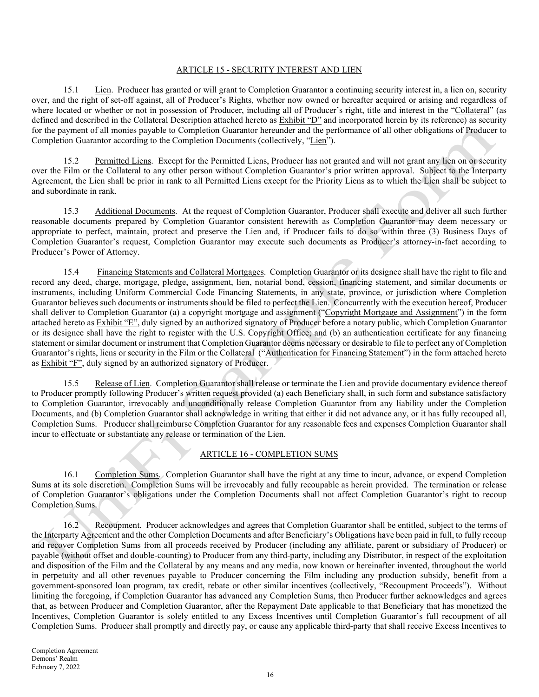### ARTICLE 15 - SECURITY INTEREST AND LIEN

15.1 Lien. Producer has granted or will grant to Completion Guarantor a continuing security interest in, a lien on, security over, and the right of set-off against, all of Producer's Rights, whether now owned or hereafter acquired or arising and regardless of where located or whether or not in possession of Producer, including all of Producer's right, title and interest in the "Collateral" (as defined and described in the Collateral Description attached hereto as Exhibit "D" and incorporated herein by its reference) as security for the payment of all monies payable to Completion Guarantor hereunder and the performance of all other obligations of Producer to Completion Guarantor according to the Completion Documents (collectively, "Lien").

15.2 Permitted Liens. Except for the Permitted Liens, Producer has not granted and will not grant any lien on or security over the Film or the Collateral to any other person without Completion Guarantor's prior written approval. Subject to the Interparty Agreement, the Lien shall be prior in rank to all Permitted Liens except for the Priority Liens as to which the Lien shall be subject to and subordinate in rank.

15.3 Additional Documents. At the request of Completion Guarantor, Producer shall execute and deliver all such further reasonable documents prepared by Completion Guarantor consistent herewith as Completion Guarantor may deem necessary or appropriate to perfect, maintain, protect and preserve the Lien and, if Producer fails to do so within three (3) Business Days of Completion Guarantor's request, Completion Guarantor may execute such documents as Producer's attorney-in-fact according to Producer's Power of Attorney.

15.4 Financing Statements and Collateral Mortgages. Completion Guarantor or its designee shall have the right to file and record any deed, charge, mortgage, pledge, assignment, lien, notarial bond, cession, financing statement, and similar documents or instruments, including Uniform Commercial Code Financing Statements, in any state, province, or jurisdiction where Completion Guarantor believes such documents or instruments should be filed to perfect the Lien. Concurrently with the execution hereof, Producer shall deliver to Completion Guarantor (a) a copyright mortgage and assignment ("Copyright Mortgage and Assignment") in the form attached hereto as Exhibit "E", duly signed by an authorized signatory of Producer before a notary public, which Completion Guarantor or its designee shall have the right to register with the U.S. Copyright Office; and (b) an authentication certificate for any financing statement or similar document or instrument that Completion Guarantor deems necessary or desirable to file to perfect any of Completion Guarantor's rights, liens or security in the Film or the Collateral ("Authentication for Financing Statement") in the form attached hereto as Exhibit "F", duly signed by an authorized signatory of Producer.

15.5 Release of Lien. Completion Guarantor shall release or terminate the Lien and provide documentary evidence thereof to Producer promptly following Producer's written request provided (a) each Beneficiary shall, in such form and substance satisfactory to Completion Guarantor, irrevocably and unconditionally release Completion Guarantor from any liability under the Completion Documents, and (b) Completion Guarantor shall acknowledge in writing that either it did not advance any, or it has fully recouped all, Completion Sums. Producer shall reimburse Completion Guarantor for any reasonable fees and expenses Completion Guarantor shall incur to effectuate or substantiate any release or termination of the Lien.

### ARTICLE 16 - COMPLETION SUMS

16.1 Completion Sums. Completion Guarantor shall have the right at any time to incur, advance, or expend Completion Sums at its sole discretion. Completion Sums will be irrevocably and fully recoupable as herein provided. The termination or release of Completion Guarantor's obligations under the Completion Documents shall not affect Completion Guarantor's right to recoup Completion Sums.

16.2 Recoupment. Producer acknowledges and agrees that Completion Guarantor shall be entitled, subject to the terms of the Interparty Agreement and the other Completion Documents and after Beneficiary's Obligations have been paid in full, to fully recoup and recover Completion Sums from all proceeds received by Producer (including any affiliate, parent or subsidiary of Producer) or payable (without offset and double-counting) to Producer from any third-party, including any Distributor, in respect of the exploitation and disposition of the Film and the Collateral by any means and any media, now known or hereinafter invented, throughout the world in perpetuity and all other revenues payable to Producer concerning the Film including any production subsidy, benefit from a government-sponsored loan program, tax credit, rebate or other similar incentives (collectively, "Recoupment Proceeds"). Without limiting the foregoing, if Completion Guarantor has advanced any Completion Sums, then Producer further acknowledges and agrees that, as between Producer and Completion Guarantor, after the Repayment Date applicable to that Beneficiary that has monetized the Incentives, Completion Guarantor is solely entitled to any Excess Incentives until Completion Guarantor's full recoupment of all Completion Sums. Producer shall promptly and directly pay, or cause any applicable third-party that shall receive Excess Incentives to

Completion Agreement Demons' Realm February 7, 2022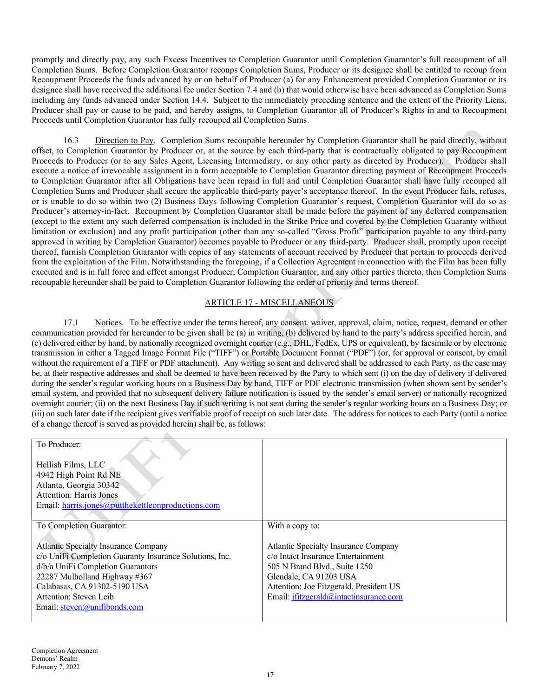promptly and directly pay, any such Excess Incentives to Completion Guarantor until Completion Guarantor's full recoupment of all Completion Sums. Before Completion Guarantor recoups Completion Sums, Producer or its designee shall be entitled to recoup from Recoupment Proceeds the funds advanced by or on behalf of Producer (a) for any Enhancement provided Completion Guarantor or its designee shall have received the additional fee under Section 7.4 and (b) that would otherwise have been advanced as Completion Sums including any funds advanced under Section 14.4. Subject to the immediately preceding sentence and the extent of the Priority Liens, Producer shall pay or cause to be paid, and hereby assigns, to Completion Guarantor all of Producer's Rights in and to Recoupment Proceeds until Completion Guarantor has fully recouped all Completion Sums.

16.3 Direction to Pay. Completion Sums recoupable hereunder by Completion Guarantor shall be paid directly, without offset, to Completion Guarantor by Producer or, at the source by each third-party that is contractually obligated to pay Recoupment Proceeds to Producer (or to any Sales Agent, Licensing Intermediary, or any other party as directed by Producer). Producer shall execute a notice of irrevocable assignment in a form acceptable to Completion Guarantor directing payment of Recoupment Proceeds to Completion Guarantor after all Obligations have been repaid in full and until Completion Guarantor shall have fully recouped all Completion Sums and Producer shall secure the applicable third-party payer's acceptance thereof. In the event Producer fails, refuses, or is unable to do so within two (2) Business Days following Completion Guarantor's request, Completion Guarantor will do so as Producer's attorney-in-fact. Recoupment by Completion Guarantor shall be made before the payment of any deferred compensation (except to the extent any such deferred compensation is included in the Strike Price and covered by the Completion Guaranty without limitation or exclusion) and any profit participation (other than any so-called "Gross Profit" participation payable to any third-party approved in writing by Completion Guarantor) becomes payable to Producer or any third-party. Producer shall, promptly upon receipt thereof, furnish Completion Guarantor with copies of any statements of account received by Producer that pertain to proceeds derived from the exploitation of the Film. Notwithstanding the foregoing, if a Collection Agreement in connection with the Film has been fully executed and is in full force and effect amongst Producer, Completion Guarantor, and any other parties thereto, then Completion Sums recoupable hereunder shall be paid to Completion Guarantor following the order of priority and terms thereof.

# ARTICLE 17 - MISCELLANEOUS

17.1 Notices. To be effective under the terms hereof, any consent, waiver, approval, claim, notice, request, demand or other communication provided for hereunder to be given shall be (a) in writing, (b) delivered by hand to the party's address specified herein, and (c) delivered either by hand, by nationally recognized overnight courier (e.g., DHL, FedEx, UPS or equivalent), by facsimile or by electronic transmission in either a Tagged Image Format File ("TIFF") or Portable Document Format ("PDF") (or, for approval or consent, by email without the requirement of a TIFF or PDF attachment). Any writing so sent and delivered shall be addressed to each Party, as the case may be, at their respective addresses and shall be deemed to have been received by the Party to which sent (i) on the day of delivery if delivered during the sender's regular working hours on a Business Day by hand, TIFF or PDF electronic transmission (when shown sent by sender's email system, and provided that no subsequent delivery failure notification is issued by the sender's email server) or nationally recognized overnight courier; (ii) on the next Business Day if such writing is not sent during the sender's regular working hours on a Business Day; or (iii) on such later date if the recipient gives verifiable proof of receipt on such later date. The address for notices to each Party (until a notice of a change thereof is served as provided herein) shall be, as follows:

| To Producer:                                                                                                                                                                                                                                                      |                                                                                                                                                                                                                            |
|-------------------------------------------------------------------------------------------------------------------------------------------------------------------------------------------------------------------------------------------------------------------|----------------------------------------------------------------------------------------------------------------------------------------------------------------------------------------------------------------------------|
| Hellish Films, LLC<br>4942 High Point Rd NE<br>Atlanta, Georgia 30342<br><b>Attention: Harris Jones</b><br>Email: harris.jones@putthekettleonproductions.com                                                                                                      |                                                                                                                                                                                                                            |
| To Completion Guarantor:                                                                                                                                                                                                                                          | With a copy to:                                                                                                                                                                                                            |
| Atlantic Specialty Insurance Company<br>c/o UniFi Completion Guaranty Insurance Solutions, Inc.<br>d/b/a UniFi Completion Guarantors<br>22287 Mulholland Highway #367<br>Calabasas, CA 91302-5190 USA<br>Attention: Steven Leib<br>Email: $steven@unifibonds.com$ | Atlantic Specialty Insurance Company<br>c/o Intact Insurance Entertainment<br>505 N Brand Blvd., Suite 1250<br>Glendale, CA 91203 USA<br>Attention: Joe Fitzgerald, President US<br>Email: jfitzgerald@intactinsurance.com |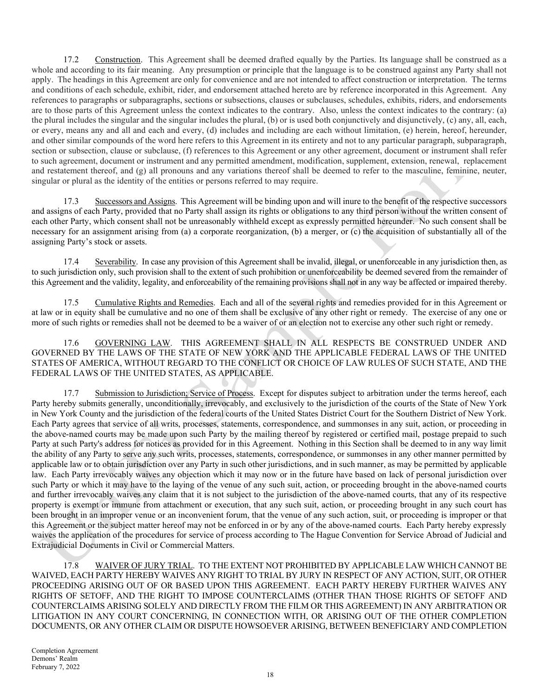17.2 Construction. This Agreement shall be deemed drafted equally by the Parties. Its language shall be construed as a whole and according to its fair meaning. Any presumption or principle that the language is to be construed against any Party shall not apply. The headings in this Agreement are only for convenience and are not intended to affect construction or interpretation. The terms and conditions of each schedule, exhibit, rider, and endorsement attached hereto are by reference incorporated in this Agreement. Any references to paragraphs or subparagraphs, sections or subsections, clauses or subclauses, schedules, exhibits, riders, and endorsements are to those parts of this Agreement unless the context indicates to the contrary. Also, unless the context indicates to the contrary: (a) the plural includes the singular and the singular includes the plural, (b) or is used both conjunctively and disjunctively, (c) any, all, each, or every, means any and all and each and every, (d) includes and including are each without limitation, (e) herein, hereof, hereunder, and other similar compounds of the word here refers to this Agreement in its entirety and not to any particular paragraph, subparagraph, section or subsection, clause or subclause, (f) references to this Agreement or any other agreement, document or instrument shall refer to such agreement, document or instrument and any permitted amendment, modification, supplement, extension, renewal, replacement and restatement thereof, and  $(g)$  all pronouns and any variations thereof shall be deemed to refer to the masculine, feminine, neuter, singular or plural as the identity of the entities or persons referred to may require.

17.3 Successors and Assigns. This Agreement will be binding upon and will inure to the benefit of the respective successors and assigns of each Party, provided that no Party shall assign its rights or obligations to any third person without the written consent of each other Party, which consent shall not be unreasonably withheld except as expressly permitted hereunder. No such consent shall be necessary for an assignment arising from (a) a corporate reorganization, (b) a merger, or (c) the acquisition of substantially all of the assigning Party's stock or assets.

17.4 Severability. In case any provision of this Agreement shall be invalid, illegal, or unenforceable in any jurisdiction then, as to such jurisdiction only, such provision shall to the extent of such prohibition or unenforceability be deemed severed from the remainder of this Agreement and the validity, legality, and enforceability of the remaining provisions shall not in any way be affected or impaired thereby.

17.5 Cumulative Rights and Remedies. Each and all of the several rights and remedies provided for in this Agreement or at law or in equity shall be cumulative and no one of them shall be exclusive of any other right or remedy. The exercise of any one or more of such rights or remedies shall not be deemed to be a waiver of or an election not to exercise any other such right or remedy.

17.6 GOVERNING LAW. THIS AGREEMENT SHALL IN ALL RESPECTS BE CONSTRUED UNDER AND GOVERNED BY THE LAWS OF THE STATE OF NEW YORK AND THE APPLICABLE FEDERAL LAWS OF THE UNITED STATES OF AMERICA, WITHOUT REGARD TO THE CONFLICT OR CHOICE OF LAW RULES OF SUCH STATE, AND THE FEDERAL LAWS OF THE UNITED STATES, AS APPLICABLE.

17.7 Submission to Jurisdiction; Service of Process. Except for disputes subject to arbitration under the terms hereof, each Party hereby submits generally, unconditionally, irrevocably, and exclusively to the jurisdiction of the courts of the State of New York in New York County and the jurisdiction of the federal courts of the United States District Court for the Southern District of New York. Each Party agrees that service of all writs, processes, statements, correspondence, and summonses in any suit, action, or proceeding in the above-named courts may be made upon such Party by the mailing thereof by registered or certified mail, postage prepaid to such Party at such Party's address for notices as provided for in this Agreement. Nothing in this Section shall be deemed to in any way limit the ability of any Party to serve any such writs, processes, statements, correspondence, or summonses in any other manner permitted by applicable law or to obtain jurisdiction over any Party in such other jurisdictions, and in such manner, as may be permitted by applicable law. Each Party irrevocably waives any objection which it may now or in the future have based on lack of personal jurisdiction over such Party or which it may have to the laying of the venue of any such suit, action, or proceeding brought in the above-named courts and further irrevocably waives any claim that it is not subject to the jurisdiction of the above-named courts, that any of its respective property is exempt or immune from attachment or execution, that any such suit, action, or proceeding brought in any such court has been brought in an improper venue or an inconvenient forum, that the venue of any such action, suit, or proceeding is improper or that this Agreement or the subject matter hereof may not be enforced in or by any of the above-named courts. Each Party hereby expressly waives the application of the procedures for service of process according to The Hague Convention for Service Abroad of Judicial and Extrajudicial Documents in Civil or Commercial Matters.

17.8 WAIVER OF JURY TRIAL. TO THE EXTENT NOT PROHIBITED BY APPLICABLE LAW WHICH CANNOT BE WAIVED, EACH PARTY HEREBY WAIVES ANY RIGHT TO TRIAL BY JURY IN RESPECT OF ANY ACTION, SUIT, OR OTHER PROCEEDING ARISING OUT OF OR BASED UPON THIS AGREEMENT. EACH PARTY HEREBY FURTHER WAIVES ANY RIGHTS OF SETOFF, AND THE RIGHT TO IMPOSE COUNTERCLAIMS (OTHER THAN THOSE RIGHTS OF SETOFF AND COUNTERCLAIMS ARISING SOLELY AND DIRECTLY FROM THE FILM OR THIS AGREEMENT) IN ANY ARBITRATION OR LITIGATION IN ANY COURT CONCERNING, IN CONNECTION WITH, OR ARISING OUT OF THE OTHER COMPLETION DOCUMENTS, OR ANY OTHER CLAIM OR DISPUTE HOWSOEVER ARISING, BETWEEN BENEFICIARY AND COMPLETION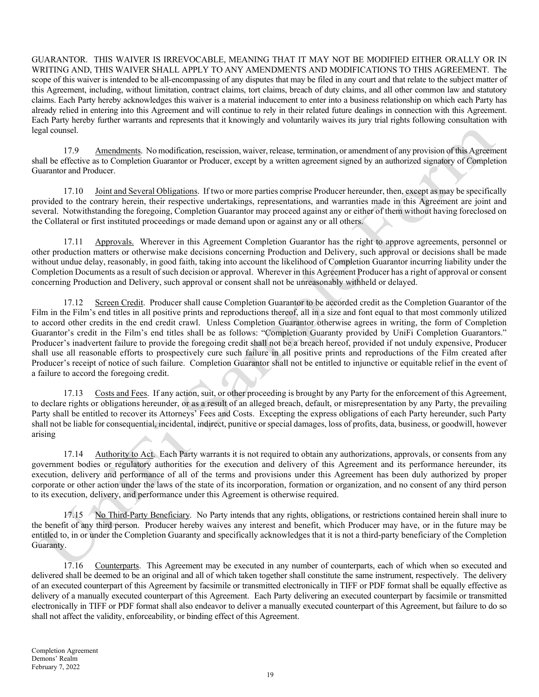GUARANTOR. THIS WAIVER IS IRREVOCABLE, MEANING THAT IT MAY NOT BE MODIFIED EITHER ORALLY OR IN WRITING AND, THIS WAIVER SHALL APPLY TO ANY AMENDMENTS AND MODIFICATIONS TO THIS AGREEMENT. The scope of this waiver is intended to be all-encompassing of any disputes that may be filed in any court and that relate to the subject matter of this Agreement, including, without limitation, contract claims, tort claims, breach of duty claims, and all other common law and statutory claims. Each Party hereby acknowledges this waiver is a material inducement to enter into a business relationship on which each Party has already relied in entering into this Agreement and will continue to rely in their related future dealings in connection with this Agreement. Each Party hereby further warrants and represents that it knowingly and voluntarily waives its jury trial rights following consultation with legal counsel.

17.9 Amendments. No modification, rescission, waiver, release, termination, or amendment of any provision of this Agreement shall be effective as to Completion Guarantor or Producer, except by a written agreement signed by an authorized signatory of Completion Guarantor and Producer.

17.10 Joint and Several Obligations. If two or more parties comprise Producer hereunder, then, except as may be specifically provided to the contrary herein, their respective undertakings, representations, and warranties made in this Agreement are joint and several. Notwithstanding the foregoing, Completion Guarantor may proceed against any or either of them without having foreclosed on the Collateral or first instituted proceedings or made demand upon or against any or all others.

17.11 Approvals. Wherever in this Agreement Completion Guarantor has the right to approve agreements, personnel or other production matters or otherwise make decisions concerning Production and Delivery, such approval or decisions shall be made without undue delay, reasonably, in good faith, taking into account the likelihood of Completion Guarantor incurring liability under the Completion Documents as a result of such decision or approval. Wherever in this Agreement Producer has a right of approval or consent concerning Production and Delivery, such approval or consent shall not be unreasonably withheld or delayed.

17.12 Screen Credit. Producer shall cause Completion Guarantor to be accorded credit as the Completion Guarantor of the Film in the Film's end titles in all positive prints and reproductions thereof, all in a size and font equal to that most commonly utilized to accord other credits in the end credit crawl. Unless Completion Guarantor otherwise agrees in writing, the form of Completion Guarantor's credit in the Film's end titles shall be as follows: "Completion Guaranty provided by UniFi Completion Guarantors." Producer's inadvertent failure to provide the foregoing credit shall not be a breach hereof, provided if not unduly expensive, Producer shall use all reasonable efforts to prospectively cure such failure in all positive prints and reproductions of the Film created after Producer's receipt of notice of such failure. Completion Guarantor shall not be entitled to injunctive or equitable relief in the event of a failure to accord the foregoing credit.

17.13 Costs and Fees. If any action, suit, or other proceeding is brought by any Party for the enforcement of this Agreement, to declare rights or obligations hereunder, or as a result of an alleged breach, default, or misrepresentation by any Party, the prevailing Party shall be entitled to recover its Attorneys' Fees and Costs. Excepting the express obligations of each Party hereunder, such Party shall not be liable for consequential, incidental, indirect, punitive or special damages, loss of profits, data, business, or goodwill, however arising

17.14 Authority to Act. Each Party warrants it is not required to obtain any authorizations, approvals, or consents from any government bodies or regulatory authorities for the execution and delivery of this Agreement and its performance hereunder, its execution, delivery and performance of all of the terms and provisions under this Agreement has been duly authorized by proper corporate or other action under the laws of the state of its incorporation, formation or organization, and no consent of any third person to its execution, delivery, and performance under this Agreement is otherwise required.

17.15 No Third-Party Beneficiary. No Party intends that any rights, obligations, or restrictions contained herein shall inure to the benefit of any third person. Producer hereby waives any interest and benefit, which Producer may have, or in the future may be entitled to, in or under the Completion Guaranty and specifically acknowledges that it is not a third-party beneficiary of the Completion Guaranty.

17.16 Counterparts. This Agreement may be executed in any number of counterparts, each of which when so executed and delivered shall be deemed to be an original and all of which taken together shall constitute the same instrument, respectively. The delivery of an executed counterpart of this Agreement by facsimile or transmitted electronically in TIFF or PDF format shall be equally effective as delivery of a manually executed counterpart of this Agreement. Each Party delivering an executed counterpart by facsimile or transmitted electronically in TIFF or PDF format shall also endeavor to deliver a manually executed counterpart of this Agreement, but failure to do so shall not affect the validity, enforceability, or binding effect of this Agreement.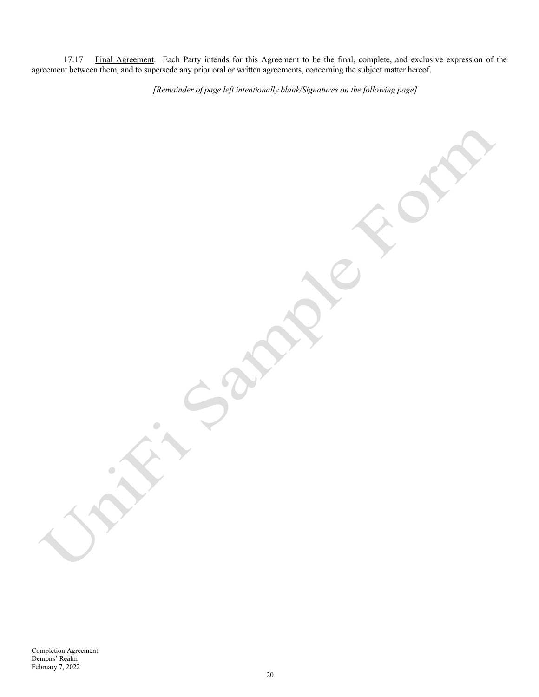17.17 Final Agreement. Each Party intends for this Agreement to be the final, complete, and exclusive expression of the agreement between them, and to supersede any prior oral or written agreements, concerning the subject matter hereof.

[Remainder of page left intentionally blank/Signatures on the following page]

P

 $\begin{array}{c} \bullet \\ \bullet \end{array}$ 

C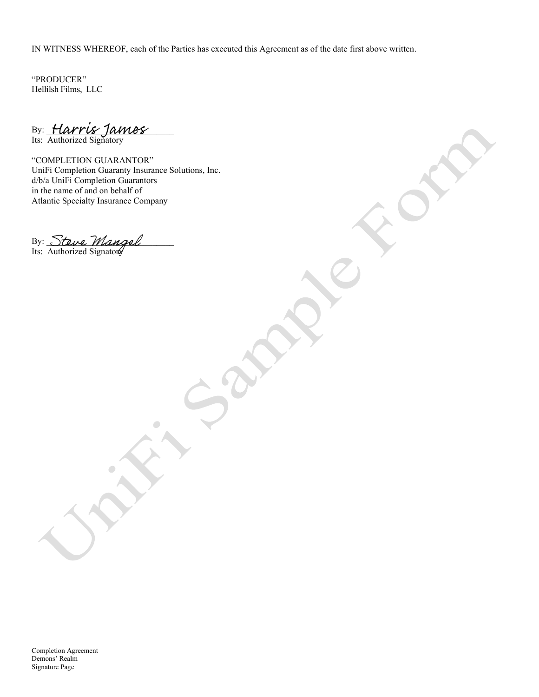IN WITNESS WHEREOF, each of the Parties has executed this Agreement as of the date first above written.

"PRODUCER" Hellilsh Films, LLC

By: Harris Tames Its: Authorized Signatory

"COMPLETION GUARANTOR" UniFi Completion Guaranty Insurance Solutions, Inc. d/b/a UniFi Completion Guarantors in the name of and on behalf of Atlantic Specialty Insurance Company

 $\bullet$ 

By: Steve *Mangel* Its: Authorized Signatory

Completion Agreement Demons' Realm Signature Page